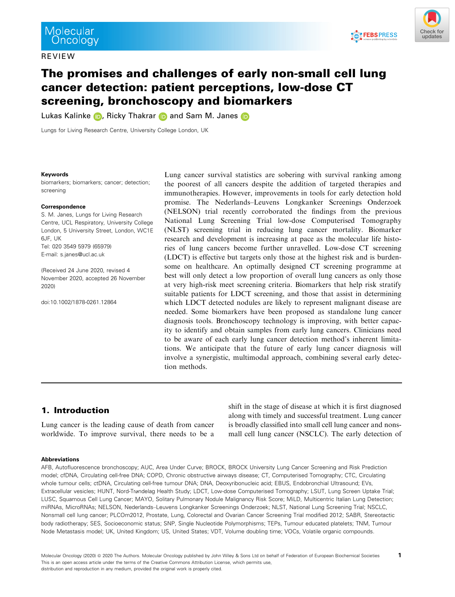REVIEW





# The promises and challenges of early non-small cell lung cancer detection: patient perceptions, low-dose CT screening, bronchoscopy and biomarkers

Lukas Kalinke **D**, Ricky Thakrar **D** and Sam M. Janes **D** 

Lungs for Living Research Centre, University College London, UK

#### Keywords

biomarkers; biomarkers; cancer; detection; screening

#### Correspondence

S. M. Janes, Lungs for Living Research Centre, UCL Respiratory, University College London, 5 University Street, London, WC1E 6JF, UK Tel: 020 3549 5979 (65979) E-mail: [s.janes@ucl.ac.uk](mailto:)

(Received 24 June 2020, revised 4 November 2020, accepted 26 November 2020)

doi:10.1002/1878-0261.12864

Lung cancer survival statistics are sobering with survival ranking among the poorest of all cancers despite the addition of targeted therapies and immunotherapies. However, improvements in tools for early detection hold promise. The Nederlands–Leuvens Longkanker Screenings Onderzoek (NELSON) trial recently corroborated the findings from the previous National Lung Screening Trial low-dose Computerised Tomography (NLST) screening trial in reducing lung cancer mortality. Biomarker research and development is increasing at pace as the molecular life histories of lung cancers become further unravelled. Low-dose CT screening (LDCT) is effective but targets only those at the highest risk and is burdensome on healthcare. An optimally designed CT screening programme at best will only detect a low proportion of overall lung cancers as only those at very high-risk meet screening criteria. Biomarkers that help risk stratify suitable patients for LDCT screening, and those that assist in determining which LDCT detected nodules are likely to represent malignant disease are needed. Some biomarkers have been proposed as standalone lung cancer diagnosis tools. Bronchoscopy technology is improving, with better capacity to identify and obtain samples from early lung cancers. Clinicians need to be aware of each early lung cancer detection method's inherent limitations. We anticipate that the future of early lung cancer diagnosis will involve a synergistic, multimodal approach, combining several early detection methods.

# 1. Introduction

Lung cancer is the leading cause of death from cancer worldwide. To improve survival, there needs to be a shift in the stage of disease at which it is first diagnosed along with timely and successful treatment. Lung cancer is broadly classified into small cell lung cancer and nonsmall cell lung cancer (NSCLC). The early detection of

#### Abbreviations

AFB, Autofluorescence bronchoscopy; AUC, Area Under Curve; BROCK, BROCK University Lung Cancer Screening and Risk Prediction model; cfDNA, Circulating cell-free DNA; COPD, Chronic obstructive airways disease; CT, Computerised Tomography; CTC, Circulating whole tumour cells; ctDNA, Circulating cell-free tumour DNA; DNA, Deoxyribonucleic acid; EBUS, Endobronchial Ultrasound; EVs, Extracellular vesicles; HUNT, Nord-Trøndelag Health Study; LDCT, Low-dose Computerised Tomography; LSUT, Lung Screen Uptake Trial; LUSC, Squamous Cell Lung Cancer; MAYO, Solitary Pulmonary Nodule Malignancy Risk Score; MiLD, Multicentric Italian Lung Detection; miRNAs, MicroRNAs; NELSON, Nederlands–Leuvens Longkanker Screenings Onderzoek; NLST, National Lung Screening Trial; NSCLC, Nonsmall cell lung cancer; PLCOm2012, Prostate, Lung, Colorectal and Ovarian Cancer Screening Trial modified 2012; SABR, Stereotactic body radiotherapy; SES, Socioeconomic status; SNP, Single Nucleotide Polymorphisms; TEPs, Tumour educated platelets; TNM, Tumour Node Metastasis model; UK, United Kingdom; US, United States; VDT, Volume doubling time; VOCs, Volatile organic compounds.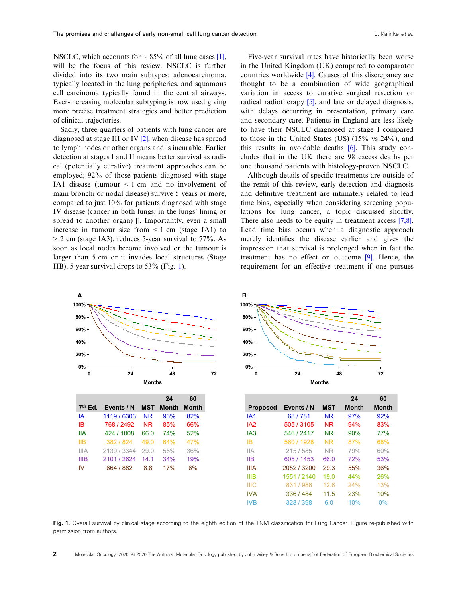NSCLC, which accounts for  $\sim 85\%$  of all lung cases [\[1](#page-12-0)], will be the focus of this review. NSCLC is further divided into its two main subtypes: adenocarcinoma, typically located in the lung peripheries, and squamous cell carcinoma typically found in the central airways. Ever-increasing molecular subtyping is now used giving more precise treatment strategies and better prediction of clinical trajectories.

Sadly, three quarters of patients with lung cancer are diagnosed at stage III or IV [[2](#page-12-0)], when disease has spread to lymph nodes or other organs and is incurable. Earlier detection at stages I and II means better survival as radical (potentially curative) treatment approaches can be employed; 92% of those patients diagnosed with stage IA1 disease (tumour < 1 cm and no involvement of main bronchi or nodal disease) survive 5 years or more, compared to just 10% for patients diagnosed with stage IV disease (cancer in both lungs, in the lungs' lining or spread to another organ) []. Importantly, even a small increase in tumour size from  $\leq 1$  cm (stage IA1) to  $> 2$  cm (stage IA3), reduces 5-year survival to 77%. As soon as local nodes become involved or the tumour is larger than 5 cm or it invades local structures (Stage IIB), 5-year survival drops to 53% (Fig. 1).

Five-year survival rates have historically been worse in the United Kingdom (UK) compared to comparator countries worldwide [\[4](#page-12-0)]. Causes of this discrepancy are thought to be a combination of wide geographical variation in access to curative surgical resection or radical radiotherapy [\[5](#page-13-0)], and late or delayed diagnosis, with delays occurring in presentation, primary care and secondary care. Patients in England are less likely to have their NSCLC diagnosed at stage I compared to those in the United States (US) (15% vs 24%), and this results in avoidable deaths  $[6]$  $[6]$ . This study concludes that in the UK there are 98 excess deaths per one thousand patients with histology-proven NSCLC.

Although details of specific treatments are outside of the remit of this review, early detection and diagnosis and definitive treatment are intimately related to lead time bias, especially when considering screening populations for lung cancer, a topic discussed shortly. There also needs to be equity in treatment access [\[7,8](#page-13-0)]. Lead time bias occurs when a diagnostic approach merely identifies the disease earlier and gives the impression that survival is prolonged when in fact the treatment has no effect on outcome [\[9\]](#page-13-0). Hence, the requirement for an effective treatment if one pursues



|                     |             |            | 24           | 60    |
|---------------------|-------------|------------|--------------|-------|
| 7 <sup>th</sup> Ed. | Events / N  | <b>MST</b> | <b>Month</b> | Month |
| ΙA                  | 1119 / 6303 | <b>NR</b>  | 93%          | 82%   |
| IB                  | 768 / 2492  | ΝR         | 85%          | 66%   |
| IIА                 | 424 / 1008  | 66.0       | <b>74%</b>   | 52%   |
| IIВ                 | 382 / 824   | 49.0       | 64%          | 47%   |
| <b>IIIA</b>         | 2139 / 3344 | 29.0       | 55%          | 36%   |
| IIIB                | 2101 / 2624 | 14.1       | 34%          | 19%   |
| IV                  | 664 / 882   | 8.8        | 17%          | 6%    |



|                 |             |            | 24           | 60    |
|-----------------|-------------|------------|--------------|-------|
| <b>Proposed</b> | Events / N  | <b>MST</b> | <b>Month</b> | Month |
| IA <sub>1</sub> | 68/781      | <b>NR</b>  | 97%          | 92%   |
| IA <sub>2</sub> | 505 / 3105  | <b>NR</b>  | 94%          | 83%   |
| IA <sub>3</sub> | 546 / 2417  | <b>NR</b>  | 90%          | 77%   |
| IB              | 560 / 1928  | <b>NR</b>  | 87%          | 68%   |
| <b>IIA</b>      | 215/585     | <b>NR</b>  | 79%          | 60%   |
| <b>IIB</b>      | 605 / 1453  | 66.0       | 72%          | 53%   |
| <b>IIIA</b>     | 2052 / 3200 | 29.3       | 55%          | 36%   |
| <b>IIIB</b>     | 1551 / 2140 | 19.0       | 44%          | 26%   |
| <b>IIIC</b>     | 831 / 986   | 12.6       | 24%          | 13%   |
| <b>IVA</b>      | 336 / 484   | 11.5       | 23%          | 10%   |
| <b>IVB</b>      | 328 / 398   | 6.0        | 10%          | 0%    |

Fig. 1. Overall survival by clinical stage according to the eighth edition of the TNM classification for Lung Cancer. Figure re-published with permission from authors.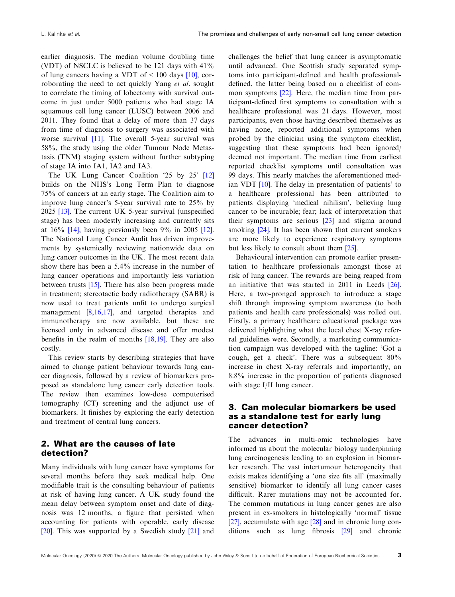earlier diagnosis. The median volume doubling time (VDT) of NSCLC is believed to be 121 days with 41% of lung cancers having a VDT of  $\leq 100$  days [\[10\]](#page-13-0), corroborating the need to act quickly Yang et al. sought to correlate the timing of lobectomy with survival outcome in just under 5000 patients who had stage IA squamous cell lung cancer (LUSC) between 2006 and 2011. They found that a delay of more than 37 days from time of diagnosis to surgery was associated with worse survival [[11](#page-13-0)]. The overall 5-year survival was 58%, the study using the older Tumour Node Metastasis (TNM) staging system without further subtyping of stage IA into IA1, IA2 and IA3.

The UK Lung Cancer Coalition '25 by 25' [\[12\]](#page-13-0) builds on the NHS's Long Term Plan to diagnose 75% of cancers at an early stage. The Coalition aim to improve lung cancer's 5-year survival rate to 25% by 2025 [[13](#page-13-0)]. The current UK 5-year survival (unspecified stage) has been modestly increasing and currently sits at 16% [\[14\]](#page-13-0), having previously been 9% in 2005 [[12](#page-13-0)]. The National Lung Cancer Audit has driven improvements by systemically reviewing nationwide data on lung cancer outcomes in the UK. The most recent data show there has been a 5.4% increase in the number of lung cancer operations and importantly less variation between trusts [\[15\]](#page-13-0). There has also been progress made in treatment; stereotactic body radiotherapy (SABR) is now used to treat patients unfit to undergo surgical management [[8,16,17\]](#page-13-0), and targeted therapies and immunotherapy are now available, but these are licensed only in advanced disease and offer modest benefits in the realm of months [[18,19](#page-13-0)]. They are also costly.

This review starts by describing strategies that have aimed to change patient behaviour towards lung cancer diagnosis, followed by a review of biomarkers proposed as standalone lung cancer early detection tools. The review then examines low-dose computerised tomography (CT) screening and the adjunct use of biomarkers. It finishes by exploring the early detection and treatment of central lung cancers.

### 2. What are the causes of late detection?

Many individuals with lung cancer have symptoms for several months before they seek medical help. One modifiable trait is the consulting behaviour of patients at risk of having lung cancer. A UK study found the mean delay between symptom onset and date of diagnosis was 12 months, a figure that persisted when accounting for patients with operable, early disease [\[20\]](#page-13-0). This was supported by a Swedish study [\[21\]](#page-13-0) and challenges the belief that lung cancer is asymptomatic until advanced. One Scottish study separated symptoms into participant-defined and health professionaldefined, the latter being based on a checklist of common symptoms [[22](#page-13-0)]. Here, the median time from participant-defined first symptoms to consultation with a healthcare professional was 21 days. However, most participants, even those having described themselves as having none, reported additional symptoms when probed by the clinician using the symptom checklist, suggesting that these symptoms had been ignored/ deemed not important. The median time from earliest reported checklist symptoms until consultation was 99 days. This nearly matches the aforementioned median VDT [[10](#page-13-0)]. The delay in presentation of patients' to a healthcare professional has been attributed to patients displaying 'medical nihilism', believing lung cancer to be incurable; fear; lack of interpretation that their symptoms are serious [\[23\]](#page-13-0) and stigma around smoking [[24](#page-13-0)]. It has been shown that current smokers are more likely to experience respiratory symptoms but less likely to consult about them [\[25\]](#page-13-0).

Behavioural intervention can promote earlier presentation to healthcare professionals amongst those at risk of lung cancer. The rewards are being reaped from an initiative that was started in 2011 in Leeds [[26](#page-13-0)]. Here, a two-pronged approach to introduce a stage shift through improving symptom awareness (to both patients and health care professionals) was rolled out. Firstly, a primary healthcare educational package was delivered highlighting what the local chest X-ray referral guidelines were. Secondly, a marketing communication campaign was developed with the tagline: 'Got a cough, get a check'. There was a subsequent 80% increase in chest X-ray referrals and importantly, an 8.8% increase in the proportion of patients diagnosed with stage I/II lung cancer.

### 3. Can molecular biomarkers be used as a standalone test for early lung cancer detection?

The advances in multi-omic technologies have informed us about the molecular biology underpinning lung carcinogenesis leading to an explosion in biomarker research. The vast intertumour heterogeneity that exists makes identifying a 'one size fits all' (maximally sensitive) biomarker to identify all lung cancer cases difficult. Rarer mutations may not be accounted for. The common mutations in lung cancer genes are also present in ex-smokers in histologically 'normal' tissue [[27](#page-13-0)], accumulate with age [[28](#page-13-0)] and in chronic lung conditions such as lung fibrosis [\[29\]](#page-13-0) and chronic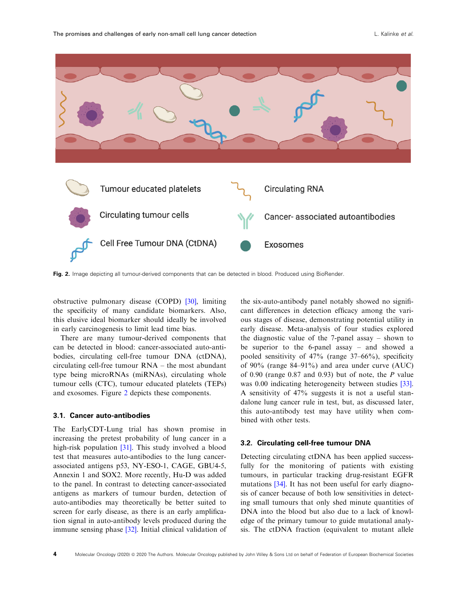

Fig. 2. Image depicting all tumour-derived components that can be detected in blood. Produced using BioRender.

obstructive pulmonary disease (COPD) [\[30\]](#page-14-0), limiting the specificity of many candidate biomarkers. Also, this elusive ideal biomarker should ideally be involved in early carcinogenesis to limit lead time bias.

There are many tumour-derived components that can be detected in blood: cancer-associated auto-antibodies, circulating cell-free tumour DNA (ctDNA), circulating cell-free tumour RNA – the most abundant type being microRNAs (miRNAs), circulating whole tumour cells (CTC), tumour educated platelets (TEPs) and exosomes. Figure 2 depicts these components.

#### 3.1. Cancer auto-antibodies

The EarlyCDT-Lung trial has shown promise in increasing the pretest probability of lung cancer in a high-risk population [\[31\]](#page-14-0). This study involved a blood test that measures auto-antibodies to the lung cancerassociated antigens p53, NY-ESO-1, CAGE, GBU4-5, Annexin 1 and SOX2. More recently, Hu-D was added to the panel. In contrast to detecting cancer-associated antigens as markers of tumour burden, detection of auto-antibodies may theoretically be better suited to screen for early disease, as there is an early amplification signal in auto-antibody levels produced during the immune sensing phase [[32](#page-14-0)]. Initial clinical validation of

the six-auto-antibody panel notably showed no significant differences in detection efficacy among the various stages of disease, demonstrating potential utility in early disease. Meta-analysis of four studies explored the diagnostic value of the 7-panel assay – shown to be superior to the 6-panel assay – and showed a pooled sensitivity of 47% (range 37–66%), specificity of 90% (range 84–91%) and area under curve (AUC) of 0.90 (range  $0.87$  and  $0.93$ ) but of note, the P value was 0.00 indicating heterogeneity between studies [[33](#page-14-0)]. A sensitivity of 47% suggests it is not a useful standalone lung cancer rule in test, but, as discussed later, this auto-antibody test may have utility when combined with other tests.

#### 3.2. Circulating cell-free tumour DNA

Detecting circulating ctDNA has been applied successfully for the monitoring of patients with existing tumours, in particular tracking drug-resistant EGFR mutations [\[34\]](#page-14-0). It has not been useful for early diagnosis of cancer because of both low sensitivities in detecting small tumours that only shed minute quantities of DNA into the blood but also due to a lack of knowledge of the primary tumour to guide mutational analysis. The ctDNA fraction (equivalent to mutant allele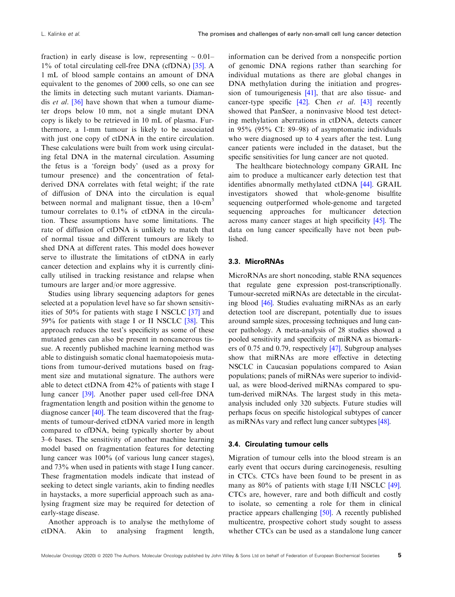fraction) in early disease is low, representing  $\sim 0.01-$ 1% of total circulating cell-free DNA (cfDNA) [\[35\]](#page-14-0). A 1 mL of blood sample contains an amount of DNA equivalent to the genomes of 2000 cells, so one can see the limits in detecting such mutant variants. Diamandis *et al.* [\[36\]](#page-14-0) have shown that when a tumour diameter drops below 10 mm, not a single mutant DNA copy is likely to be retrieved in 10 mL of plasma. Furthermore, a 1-mm tumour is likely to be associated with just one copy of ctDNA in the entire circulation. These calculations were built from work using circulating fetal DNA in the maternal circulation. Assuming the fetus is a 'foreign body' (used as a proxy for tumour presence) and the concentration of fetalderived DNA correlates with fetal weight; if the rate of diffusion of DNA into the circulation is equal between normal and malignant tissue, then a  $10$ -cm<sup>3</sup> tumour correlates to 0.1% of ctDNA in the circulation. These assumptions have some limitations. The rate of diffusion of ctDNA is unlikely to match that of normal tissue and different tumours are likely to shed DNA at different rates. This model does however serve to illustrate the limitations of ctDNA in early cancer detection and explains why it is currently clinically utilised in tracking resistance and relapse when tumours are larger and/or more aggressive.

Studies using library sequencing adaptors for genes selected at a population level have so far shown sensitivities of 50% for patients with stage I NSCLC [[37](#page-14-0)] and 59% for patients with stage I or II NSCLC [\[38\]](#page-14-0). This approach reduces the test's specificity as some of these mutated genes can also be present in noncancerous tissue. A recently published machine learning method was able to distinguish somatic clonal haematopoiesis mutations from tumour-derived mutations based on fragment size and mutational signature. The authors were able to detect ctDNA from 42% of patients with stage I lung cancer [\[39\]](#page-14-0). Another paper used cell-free DNA fragmentation length and position within the genome to diagnose cancer [\[40\]](#page-14-0). The team discovered that the fragments of tumour-derived ctDNA varied more in length compared to cfDNA, being typically shorter by about 3–6 bases. The sensitivity of another machine learning model based on fragmentation features for detecting lung cancer was 100% (of various lung cancer stages), and 73% when used in patients with stage I Iung cancer. These fragmentation models indicate that instead of seeking to detect single variants, akin to finding needles in haystacks, a more superficial approach such as analysing fragment size may be required for detection of early-stage disease.

Another approach is to analyse the methylome of ctDNA. Akin to analysing fragment length,

information can be derived from a nonspecific portion of genomic DNA regions rather than searching for individual mutations as there are global changes in DNA methylation during the initiation and progression of tumourigenesis [[41](#page-14-0)], that are also tissue- and cancer-type specific  $[42]$ . Chen *et al.*  $[43]$  $[43]$  $[43]$  recently showed that PanSeer, a noninvasive blood test detecting methylation aberrations in ctDNA, detects cancer in 95% (95% CI: 89–98) of asymptomatic individuals who were diagnosed up to 4 years after the test. Lung cancer patients were included in the dataset, but the specific sensitivities for lung cancer are not quoted.

The healthcare biotechnology company GRAIL Inc aim to produce a multicancer early detection test that identifies abnormally methylated ctDNA [[44](#page-14-0)]. GRAIL investigators showed that whole-genome bisulfite sequencing outperformed whole-genome and targeted sequencing approaches for multicancer detection across many cancer stages at high specificity [\[45\]](#page-14-0). The data on lung cancer specifically have not been published.

### 3.3. MicroRNAs

MicroRNAs are short noncoding, stable RNA sequences that regulate gene expression post-transcriptionally. Tumour-secreted miRNAs are detectable in the circulating blood [[46](#page-14-0)]. Studies evaluating miRNAs as an early detection tool are discrepant, potentially due to issues around sample sizes, processing techniques and lung cancer pathology. A meta-analysis of 28 studies showed a pooled sensitivity and specificity of miRNA as biomarkers of 0.75 and 0.79, respectively [[47](#page-14-0)]. Subgroup analyses show that miRNAs are more effective in detecting NSCLC in Caucasian populations compared to Asian populations; panels of miRNAs were superior to individual, as were blood-derived miRNAs compared to sputum-derived miRNAs. The largest study in this metaanalysis included only 320 subjects. Future studies will perhaps focus on specific histological subtypes of cancer as miRNAs vary and reflect lung cancer subtypes [[48](#page-14-0)].

### 3.4. Circulating tumour cells

Migration of tumour cells into the blood stream is an early event that occurs during carcinogenesis, resulting in CTCs. CTCs have been found to be present in as many as 80% of patients with stage I/II NSCLC [[49](#page-14-0)]. CTCs are, however, rare and both difficult and costly to isolate, so cementing a role for them in clinical practice appears challenging [[50](#page-14-0)]. A recently published multicentre, prospective cohort study sought to assess whether CTCs can be used as a standalone lung cancer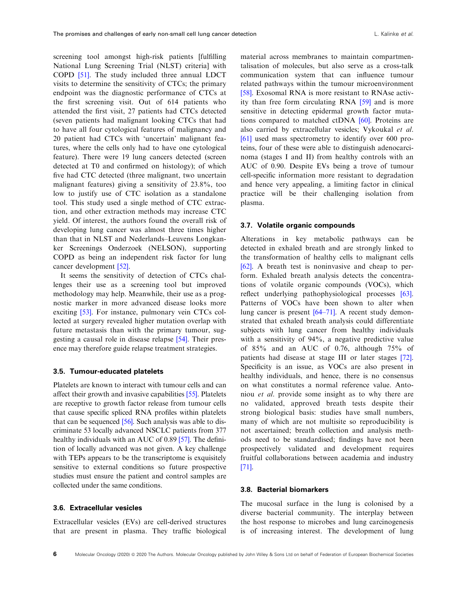screening tool amongst high-risk patients [fulfilling National Lung Screening Trial (NLST) criteria] with COPD [[51](#page-14-0)]. The study included three annual LDCT visits to determine the sensitivity of CTCs; the primary endpoint was the diagnostic performance of CTCs at the first screening visit. Out of 614 patients who attended the first visit, 27 patients had CTCs detected (seven patients had malignant looking CTCs that had to have all four cytological features of malignancy and 20 patient had CTCs with 'uncertain' malignant features, where the cells only had to have one cytological feature). There were 19 lung cancers detected (screen detected at T0 and confirmed on histology); of which five had CTC detected (three malignant, two uncertain malignant features) giving a sensitivity of 23.8%, too low to justify use of CTC isolation as a standalone tool. This study used a single method of CTC extraction, and other extraction methods may increase CTC yield. Of interest, the authors found the overall risk of developing lung cancer was almost three times higher than that in NLST and Nederlands–Leuvens Longkanker Screenings Onderzoek (NELSON), supporting COPD as being an independent risk factor for lung cancer development [\[52\]](#page-14-0).

It seems the sensitivity of detection of CTCs challenges their use as a screening tool but improved methodology may help. Meanwhile, their use as a prognostic marker in more advanced disease looks more exciting [[53](#page-14-0)]. For instance, pulmonary vein CTCs collected at surgery revealed higher mutation overlap with future metastasis than with the primary tumour, suggesting a causal role in disease relapse [\[54\]](#page-14-0). Their presence may therefore guide relapse treatment strategies.

### 3.5. Tumour-educated platelets

Platelets are known to interact with tumour cells and can affect their growth and invasive capabilities [\[55\]](#page-15-0). Platelets are receptive to growth factor release from tumour cells that cause specific spliced RNA profiles within platelets that can be sequenced [\[56](#page-15-0)]. Such analysis was able to discriminate 53 locally advanced NSCLC patients from 377 healthy individuals with an AUC of 0.89 [\[57\]](#page-15-0). The definition of locally advanced was not given. A key challenge with TEPs appears to be the transcriptome is exquisitely sensitive to external conditions so future prospective studies must ensure the patient and control samples are collected under the same conditions.

### 3.6. Extracellular vesicles

Extracellular vesicles (EVs) are cell-derived structures that are present in plasma. They traffic biological

material across membranes to maintain compartmentalisation of molecules, but also serve as a cross-talk communication system that can influence tumour related pathways within the tumour microenvironment [\[58\]](#page-15-0). Exosomal RNA is more resistant to RNAse activity than free form circulating RNA [[59](#page-15-0)] and is more sensitive in detecting epidermal growth factor mutations compared to matched ctDNA [\[60\]](#page-15-0). Proteins are also carried by extracellular vesicles; Vykoukal et al. [\[61\]](#page-15-0) used mass spectrometry to identify over 600 proteins, four of these were able to distinguish adenocarcinoma (stages I and II) from healthy controls with an AUC of 0.90. Despite EVs being a trove of tumour cell-specific information more resistant to degradation and hence very appealing, a limiting factor in clinical practice will be their challenging isolation from plasma.

### 3.7. Volatile organic compounds

Alterations in key metabolic pathways can be detected in exhaled breath and are strongly linked to the transformation of healthy cells to malignant cells [\[62\]](#page-15-0). A breath test is noninvasive and cheap to perform. Exhaled breath analysis detects the concentrations of volatile organic compounds (VOCs), which reflect underlying pathophysiological processes [[63](#page-15-0)]. Patterns of VOCs have been shown to alter when lung cancer is present [\[64](#page-15-0)–71]. A recent study demonstrated that exhaled breath analysis could differentiate subjects with lung cancer from healthy individuals with a sensitivity of 94%, a negative predictive value of 85% and an AUC of 0.76, although 75% of patients had disease at stage III or later stages [[72](#page-15-0)]. Specificity is an issue, as VOCs are also present in healthy individuals, and hence, there is no consensus on what constitutes a normal reference value. Antoniou et al. provide some insight as to why there are no validated, approved breath tests despite their strong biological basis: studies have small numbers, many of which are not multisite so reproducibility is not ascertained; breath collection and analysis methods need to be standardised; findings have not been prospectively validated and development requires fruitful collaborations between academia and industry [\[71\]](#page-15-0).

### 3.8. Bacterial biomarkers

The mucosal surface in the lung is colonised by a diverse bacterial community. The interplay between the host response to microbes and lung carcinogenesis is of increasing interest. The development of lung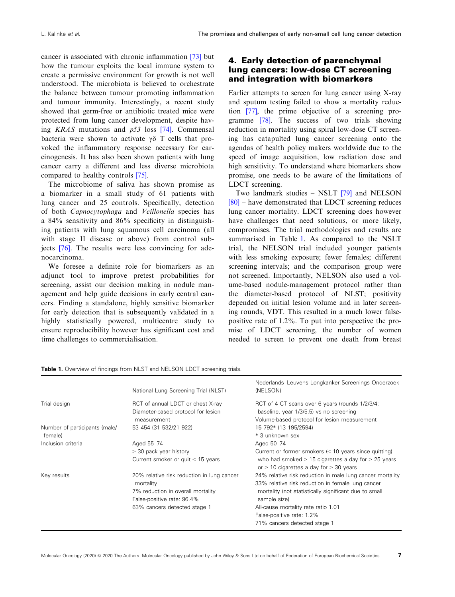cancer is associated with chronic inflammation [\[73\]](#page-15-0) but how the tumour exploits the local immune system to create a permissive environment for growth is not well understood. The microbiota is believed to orchestrate the balance between tumour promoting inflammation and tumour immunity. Interestingly, a recent study showed that germ-free or antibiotic treated mice were protected from lung cancer development, despite having KRAS mutations and p53 loss [\[74\]](#page-15-0). Commensal bacteria were shown to activate  $\gamma\delta$  T cells that provoked the inflammatory response necessary for carcinogenesis. It has also been shown patients with lung cancer carry a different and less diverse microbiota compared to healthy controls [\[75\]](#page-15-0).

The microbiome of saliva has shown promise as a biomarker in a small study of 61 patients with lung cancer and 25 controls. Specifically, detection of both Capnocytophaga and Veillonella species has a 84% sensitivity and 86% specificity in distinguishing patients with lung squamous cell carcinoma (all with stage II disease or above) from control subjects [[76](#page-15-0)]. The results were less convincing for adenocarcinoma.

We foresee a definite role for biomarkers as an adjunct tool to improve pretest probabilities for screening, assist our decision making in nodule management and help guide decisions in early central cancers. Finding a standalone, highly sensitive biomarker for early detection that is subsequently validated in a highly statistically powered, multicentre study to ensure reproducibility however has significant cost and time challenges to commercialisation.

## 4. Early detection of parenchymal lung cancers: low-dose CT screening and integration with biomarkers

Earlier attempts to screen for lung cancer using X-ray and sputum testing failed to show a mortality reduction [[77\]](#page-15-0), the prime objective of a screening programme [\[78\]](#page-15-0). The success of two trials showing reduction in mortality using spiral low-dose CT screening has catapulted lung cancer screening onto the agendas of health policy makers worldwide due to the speed of image acquisition, low radiation dose and high sensitivity. To understand where biomarkers show promise, one needs to be aware of the limitations of LDCT screening.

Two landmark studies – NSLT [[79](#page-15-0)] and NELSON [[80](#page-15-0)] – have demonstrated that LDCT screening reduces lung cancer mortality. LDCT screening does however have challenges that need solutions, or more likely, compromises. The trial methodologies and results are summarised in Table 1. As compared to the NSLT trial, the NELSON trial included younger patients with less smoking exposure; fewer females; different screening intervals; and the comparison group were not screened. Importantly, NELSON also used a volume-based nodule-management protocol rather than the diameter-based protocol of NLST; positivity depended on initial lesion volume and in later screening rounds, VDT. This resulted in a much lower falsepositive rate of 1.2%. To put into perspective the promise of LDCT screening, the number of women needed to screen to prevent one death from breast

|                                          | National Lung Screening Trial (NLST)                                                                                                                       | Nederlands-Leuvens Longkanker Screenings Onderzoek<br>(NELSON)                                                                                                                                                                                                                              |
|------------------------------------------|------------------------------------------------------------------------------------------------------------------------------------------------------------|---------------------------------------------------------------------------------------------------------------------------------------------------------------------------------------------------------------------------------------------------------------------------------------------|
| Trial design                             | RCT of annual LDCT or chest X-ray<br>Diameter-based protocol for lesion<br>measurement                                                                     | RCT of 4 CT scans over 6 years (rounds 1/2/3/4:<br>baseline, year 1/3/5.5) vs no screening<br>Volume-based protocol for lesion measurement                                                                                                                                                  |
| Number of participants (male/<br>female) | 53 454 (31 532/21 922)                                                                                                                                     | 15 792* (13 195/2594)<br>* 3 unknown sex                                                                                                                                                                                                                                                    |
| Inclusion criteria                       | Aged 55-74<br>> 30 pack year history<br>Current smoker or quit $<$ 15 years                                                                                | Aged 50-74<br>Current or former smokers $\leq 10$ years since quitting)<br>who had smoked $> 15$ cigarettes a day for $> 25$ years<br>or $>$ 10 cigarettes a day for $>$ 30 years                                                                                                           |
| Key results                              | 20% relative risk reduction in lung cancer<br>mortality<br>7% reduction in overall mortality<br>False-positive rate: 96.4%<br>63% cancers detected stage 1 | 24% relative risk reduction in male lung cancer mortality<br>33% relative risk reduction in female lung cancer<br>mortality (not statistically significant due to small<br>sample size)<br>All-cause mortality rate ratio 1.01<br>False-positive rate: 1.2%<br>71% cancers detected stage 1 |

Table 1. Overview of findings from NLST and NELSON LDCT screening trials.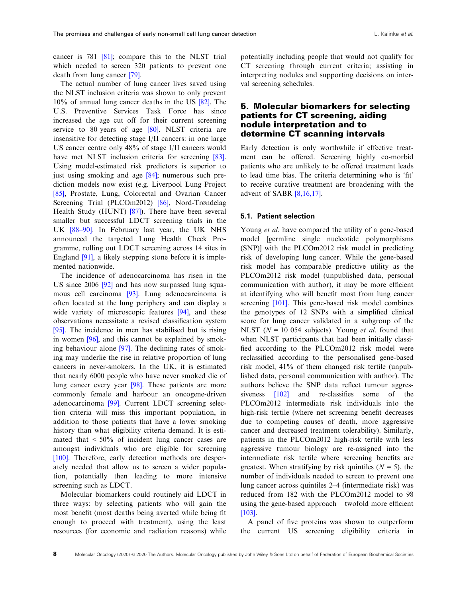cancer is 781 [\[81\]](#page-16-0); compare this to the NLST trial which needed to screen 320 patients to prevent one death from lung cancer [[79](#page-15-0)].

The actual number of lung cancer lives saved using the NLST inclusion criteria was shown to only prevent 10% of annual lung cancer deaths in the US [\[82\]](#page-16-0). The U.S. Preventive Services Task Force has since increased the age cut off for their current screening service to [80](#page-15-0) years of age [80]. NLST criteria are insensitive for detecting stage I/II cancers: in one large US cancer centre only 48% of stage I/II cancers would have met NLST inclusion criteria for screening [[83](#page-16-0)]. Using model-estimated risk predictors is superior to just using smoking and age [[84](#page-16-0)]; numerous such prediction models now exist (e.g. Liverpool Lung Project [\[85\]](#page-16-0), Prostate, Lung, Colorectal and Ovarian Cancer Screening Trial (PLCOm2012) [[86](#page-16-0)], Nord-Trøndelag Health Study (HUNT) [\[87\]](#page-16-0)). There have been several smaller but successful LDCT screening trials in the UK [\[88](#page-16-0)–[90\]](#page-16-0). In February last year, the UK NHS announced the targeted Lung Health Check Programme, rolling out LDCT screening across 14 sites in England [[91](#page-16-0)], a likely stepping stone before it is implemented nationwide.

The incidence of adenocarcinoma has risen in the US since 2006 [[92](#page-16-0)] and has now surpassed lung squamous cell carcinoma [\[93\]](#page-16-0). Lung adenocarcinoma is often located at the lung periphery and can display a wide variety of microscopic features [[94](#page-16-0)], and these observations necessitate a revised classification system [\[95\]](#page-16-0). The incidence in men has stabilised but is rising in women [\[96\]](#page-16-0), and this cannot be explained by smoking behaviour alone [\[97\]](#page-16-0). The declining rates of smoking may underlie the rise in relative proportion of lung cancers in never-smokers. In the UK, it is estimated that nearly 6000 people who have never smoked die of lung cancer every year [[98](#page-16-0)]. These patients are more commonly female and harbour an oncogene-driven adenocarcinoma [[99](#page-16-0)]. Current LDCT screening selection criteria will miss this important population, in addition to those patients that have a lower smoking history than what eligibility criteria demand. It is estimated that  $\leq 50\%$  of incident lung cancer cases are amongst individuals who are eligible for screening [\[100](#page-16-0)]. Therefore, early detection methods are desperately needed that allow us to screen a wider population, potentially then leading to more intensive screening such as LDCT.

Molecular biomarkers could routinely aid LDCT in three ways: by selecting patients who will gain the most benefit (most deaths being averted while being fit enough to proceed with treatment), using the least resources (for economic and radiation reasons) while

potentially including people that would not qualify for CT screening through current criteria; assisting in interpreting nodules and supporting decisions on interval screening schedules.

### 5. Molecular biomarkers for selecting patients for CT screening, aiding nodule interpretation and to determine CT scanning intervals

Early detection is only worthwhile if effective treatment can be offered. Screening highly co-morbid patients who are unlikely to be offered treatment leads to lead time bias. The criteria determining who is 'fit' to receive curative treatment are broadening with the advent of SABR [[8,16,17](#page-13-0)].

### 5.1. Patient selection

Young *et al.* have compared the utility of a gene-based model [germline single nucleotide polymorphisms (SNP)] with the PLCOm2012 risk model in predicting risk of developing lung cancer. While the gene-based risk model has comparable predictive utility as the PLCOm2012 risk model (unpublished data, personal communication with author), it may be more efficient at identifying who will benefit most from lung cancer screening [\[101\]](#page-16-0). This gene-based risk model combines the genotypes of 12 SNPs with a simplified clinical score for lung cancer validated in a subgroup of the NLST ( $N = 10054$  subjects). Young *et al.* found that when NLST participants that had been initially classified according to the PLCOm2012 risk model were reclassified according to the personalised gene-based risk model, 41% of them changed risk tertile (unpublished data, personal communication with author). The authors believe the SNP data reflect tumour aggres-siveness [\[102\]](#page-16-0) and re-classifies some of the PLCOm2012 intermediate risk individuals into the high-risk tertile (where net screening benefit decreases due to competing causes of death, more aggressive cancer and decreased treatment tolerability). Similarly, patients in the PLCOm2012 high-risk tertile with less aggressive tumour biology are re-assigned into the intermediate risk tertile where screening benefits are greatest. When stratifying by risk quintiles ( $N = 5$ ), the number of individuals needed to screen to prevent one lung cancer across quintiles 2–4 (intermediate risk) was reduced from 182 with the PLCOm2012 model to 98 using the gene-based approach – twofold more efficient [\[103\]](#page-16-0).

A panel of five proteins was shown to outperform the current US screening eligibility criteria in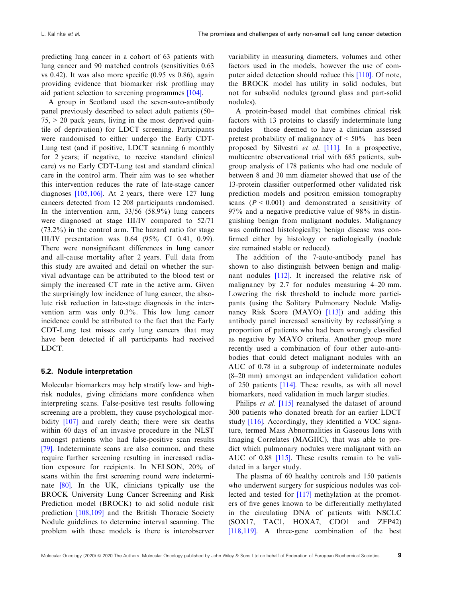predicting lung cancer in a cohort of 63 patients with lung cancer and 90 matched controls (sensitivities 0.63 vs 0.42). It was also more specific (0.95 vs 0.86), again providing evidence that biomarker risk profiling may aid patient selection to screening programmes [\[104](#page-17-0)].

A group in Scotland used the seven-auto-antibody panel previously described to select adult patients (50–  $75$ ,  $> 20$  pack years, living in the most deprived quintile of deprivation) for LDCT screening. Participants were randomised to either undergo the Early CDT-Lung test (and if positive, LDCT scanning 6 monthly for 2 years; if negative, to receive standard clinical care) vs no Early CDT-Lung test and standard clinical care in the control arm. Their aim was to see whether this intervention reduces the rate of late-stage cancer diagnoses [[105,106\]](#page-17-0). At 2 years, there were 127 lung cancers detected from 12 208 participants randomised. In the intervention arm, 33/56 (58.9%) lung cancers were diagnosed at stage III/IV compared to 52/71 (73.2%) in the control arm. The hazard ratio for stage III/IV presentation was 0.64 (95% CI 0.41, 0.99). There were nonsignificant differences in lung cancer and all-cause mortality after 2 years. Full data from this study are awaited and detail on whether the survival advantage can be attributed to the blood test or simply the increased CT rate in the active arm. Given the surprisingly low incidence of lung cancer, the absolute risk reduction in late-stage diagnosis in the intervention arm was only 0.3%. This low lung cancer incidence could be attributed to the fact that the Early CDT-Lung test misses early lung cancers that may have been detected if all participants had received LDCT.

#### 5.2. Nodule interpretation

Molecular biomarkers may help stratify low- and highrisk nodules, giving clinicians more confidence when interpreting scans. False-positive test results following screening are a problem, they cause psychological morbidity [\[107\]](#page-17-0) and rarely death; there were six deaths within 60 days of an invasive procedure in the NLST amongst patients who had false-positive scan results [\[79\]](#page-15-0). Indeterminate scans are also common, and these require further screening resulting in increased radiation exposure for recipients. In NELSON, 20% of scans within the first screening round were indeterminate [[80](#page-15-0)]. In the UK, clinicians typically use the BROCK University Lung Cancer Screening and Risk Prediction model (BROCK) to aid solid nodule risk prediction [\[108,109](#page-17-0)] and the British Thoracic Society Nodule guidelines to determine interval scanning. The problem with these models is there is interobserver

variability in measuring diameters, volumes and other factors used in the models, however the use of computer aided detection should reduce this [\[110](#page-17-0)]. Of note, the BROCK model has utility in solid nodules, but not for subsolid nodules (ground glass and part-solid nodules).

A protein-based model that combines clinical risk factors with 13 proteins to classify indeterminate lung nodules – those deemed to have a clinician assessed pretest probability of malignancy of  $\leq 50\%$  – has been proposed by Silvestri et al. [\[111](#page-17-0)]. In a prospective, multicentre observational trial with 685 patients, subgroup analysis of 178 patients who had one nodule of between 8 and 30 mm diameter showed that use of the 13-protein classifier outperformed other validated risk prediction models and positron emission tomography scans ( $P < 0.001$ ) and demonstrated a sensitivity of 97% and a negative predictive value of 98% in distinguishing benign from malignant nodules. Malignancy was confirmed histologically; benign disease was confirmed either by histology or radiologically (nodule size remained stable or reduced).

The addition of the 7-auto-antibody panel has shown to also distinguish between benign and malignant nodules [\[112\]](#page-17-0). It increased the relative risk of malignancy by 2.7 for nodules measuring 4–20 mm. Lowering the risk threshold to include more participants (using the Solitary Pulmonary Nodule Malignancy Risk Score (MAYO) [\[113\]](#page-17-0)) and adding this antibody panel increased sensitivity by reclassifying a proportion of patients who had been wrongly classified as negative by MAYO criteria. Another group more recently used a combination of four other auto-antibodies that could detect malignant nodules with an AUC of 0.78 in a subgroup of indeterminate nodules (8–20 mm) amongst an independent validation cohort of 250 patients [\[114\]](#page-17-0). These results, as with all novel biomarkers, need validation in much larger studies.

Philips *et al.* [\[115\]](#page-17-0) reanalysed the dataset of around 300 patients who donated breath for an earlier LDCT study [\[116\]](#page-17-0). Accordingly, they identified a VOC signature, termed Mass Abnormalities in Gaseous Ions with Imaging Correlates (MAGIIC), that was able to predict which pulmonary nodules were malignant with an AUC of 0.88 [\[115\]](#page-17-0). These results remain to be validated in a larger study.

The plasma of 60 healthy controls and 150 patients who underwent surgery for suspicious nodules was collected and tested for [\[117](#page-17-0)] methylation at the promoters of five genes known to be differentially methylated in the circulating DNA of patients with NSCLC (SOX17, TAC1, HOXA7, CDO1 and ZFP42) [[118,119\]](#page-17-0). A three-gene combination of the best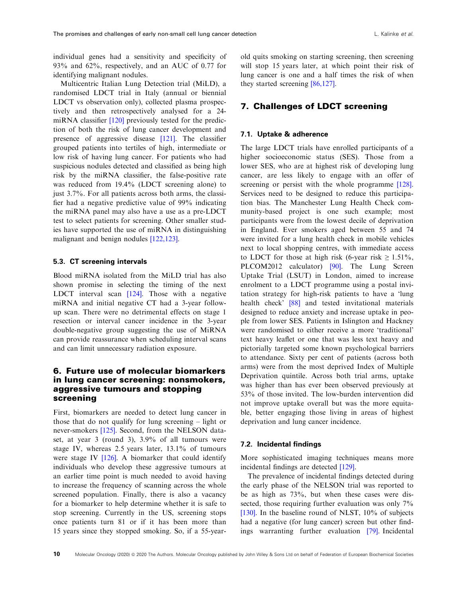individual genes had a sensitivity and specificity of 93% and 62%, respectively, and an AUC of 0.77 for identifying malignant nodules.

Multicentric Italian Lung Detection trial (MiLD), a randomised LDCT trial in Italy (annual or biennial LDCT vs observation only), collected plasma prospectively and then retrospectively analysed for a 24- miRNA classifier [[120\]](#page-17-0) previously tested for the prediction of both the risk of lung cancer development and presence of aggressive disease [[121\]](#page-17-0). The classifier grouped patients into tertiles of high, intermediate or low risk of having lung cancer. For patients who had suspicious nodules detected and classified as being high risk by the miRNA classifier, the false-positive rate was reduced from 19.4% (LDCT screening alone) to just 3.7%. For all patients across both arms, the classifier had a negative predictive value of 99% indicating the miRNA panel may also have a use as a pre-LDCT test to select patients for screening. Other smaller studies have supported the use of miRNA in distinguishing malignant and benign nodules [\[122,123](#page-17-0)].

### 5.3. CT screening intervals

Blood miRNA isolated from the MiLD trial has also shown promise in selecting the timing of the next LDCT interval scan [[124\]](#page-18-0). Those with a negative miRNA and initial negative CT had a 3-year followup scan. There were no detrimental effects on stage 1 resection or interval cancer incidence in the 3-year double-negative group suggesting the use of MiRNA can provide reassurance when scheduling interval scans and can limit unnecessary radiation exposure.

### 6. Future use of molecular biomarkers in lung cancer screening: nonsmokers, aggressive tumours and stopping screening

First, biomarkers are needed to detect lung cancer in those that do not qualify for lung screening – light or never-smokers [\[125](#page-18-0)]. Second, from the NELSON dataset, at year 3 (round 3), 3.9% of all tumours were stage IV, whereas 2.5 years later, 13.1% of tumours were stage IV [\[126\]](#page-18-0). A biomarker that could identify individuals who develop these aggressive tumours at an earlier time point is much needed to avoid having to increase the frequency of scanning across the whole screened population. Finally, there is also a vacancy for a biomarker to help determine whether it is safe to stop screening. Currently in the US, screening stops once patients turn 81 or if it has been more than 15 years since they stopped smoking. So, if a 55-yearold quits smoking on starting screening, then screening will stop 15 years later, at which point their risk of lung cancer is one and a half times the risk of when they started screening [\[86,127\]](#page-16-0).

### 7. Challenges of LDCT screening

### 7.1. Uptake & adherence

The large LDCT trials have enrolled participants of a higher socioeconomic status (SES). Those from a lower SES, who are at highest risk of developing lung cancer, are less likely to engage with an offer of screening or persist with the whole programme [\[128](#page-18-0)]. Services need to be designed to reduce this participation bias. The Manchester Lung Health Check community-based project is one such example; most participants were from the lowest decile of deprivation in England. Ever smokers aged between 55 and 74 were invited for a lung health check in mobile vehicles next to local shopping centres, with immediate access to LDCT for those at high risk (6-year risk  $\geq 1.51\%$ ). PLCOM2012 calculator) [\[90\]](#page-16-0). The Lung Screen Uptake Trial (LSUT) in London, aimed to increase enrolment to a LDCT programme using a postal invitation strategy for high-risk patients to have a 'lung health check' [\[88\]](#page-16-0) and tested invitational materials designed to reduce anxiety and increase uptake in people from lower SES. Patients in Islington and Hackney were randomised to either receive a more 'traditional' text heavy leaflet or one that was less text heavy and pictorially targeted some known psychological barriers to attendance. Sixty per cent of patients (across both arms) were from the most deprived Index of Multiple Deprivation quintile. Across both trial arms, uptake was higher than has ever been observed previously at 53% of those invited. The low-burden intervention did not improve uptake overall but was the more equitable, better engaging those living in areas of highest deprivation and lung cancer incidence.

### 7.2. Incidental findings

More sophisticated imaging techniques means more incidental findings are detected [\[129](#page-18-0)].

The prevalence of incidental findings detected during the early phase of the NELSON trial was reported to be as high as 73%, but when these cases were dissected, those requiring further evaluation was only  $7\%$ [\[130\]](#page-18-0). In the baseline round of NLST, 10% of subjects had a negative (for lung cancer) screen but other findings warranting further evaluation [[79](#page-15-0)]. Incidental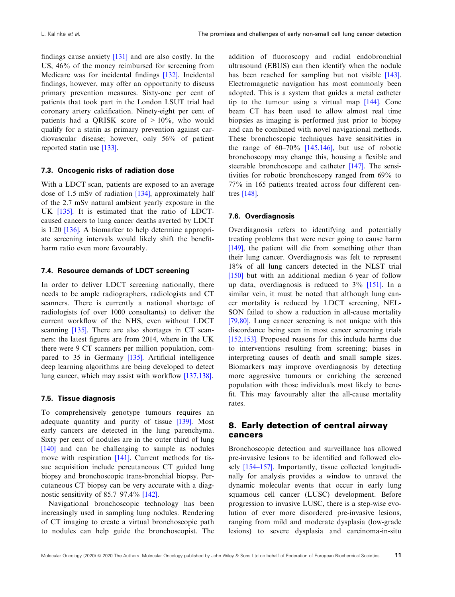findings cause anxiety [\[131\]](#page-18-0) and are also costly. In the US, 46% of the money reimbursed for screening from Medicare was for incidental findings [[132](#page-18-0)]. Incidental findings, however, may offer an opportunity to discuss primary prevention measures. Sixty-one per cent of patients that took part in the London LSUT trial had coronary artery calcification. Ninety-eight per cent of patients had a QRISK score of > 10%, who would qualify for a statin as primary prevention against cardiovascular disease; however, only 56% of patient reported statin use [[133\]](#page-18-0).

#### 7.3. Oncogenic risks of radiation dose

With a LDCT scan, patients are exposed to an average dose of 1.5 mSv of radiation [[134\]](#page-18-0), approximately half of the 2.7 mSv natural ambient yearly exposure in the UK [[135\]](#page-18-0). It is estimated that the ratio of LDCTcaused cancers to lung cancer deaths averted by LDCT is 1:20 [\[136\]](#page-18-0). A biomarker to help determine appropriate screening intervals would likely shift the benefitharm ratio even more favourably.

### 7.4. Resource demands of LDCT screening

In order to deliver LDCT screening nationally, there needs to be ample radiographers, radiologists and CT scanners. There is currently a national shortage of radiologists (of over 1000 consultants) to deliver the current workflow of the NHS, even without LDCT scanning [[135\]](#page-18-0). There are also shortages in CT scanners: the latest figures are from 2014, where in the UK there were 9 CT scanners per million population, compared to 35 in Germany [\[135\]](#page-18-0). Artificial intelligence deep learning algorithms are being developed to detect lung cancer, which may assist with workflow [\[137,138](#page-18-0)].

### 7.5. Tissue diagnosis

To comprehensively genotype tumours requires an adequate quantity and purity of tissue [[139\]](#page-18-0). Most early cancers are detected in the lung parenchyma. Sixty per cent of nodules are in the outer third of lung [\[140\]](#page-18-0) and can be challenging to sample as nodules move with respiration [[141](#page-18-0)]. Current methods for tissue acquisition include percutaneous CT guided lung biopsy and bronchoscopic trans-bronchial biopsy. Percutaneous CT biopsy can be very accurate with a diagnostic sensitivity of 85.7–97.4% [\[142](#page-18-0)].

Navigational bronchoscopic technology has been increasingly used in sampling lung nodules. Rendering of CT imaging to create a virtual bronchoscopic path to nodules can help guide the bronchoscopist. The addition of fluoroscopy and radial endobronchial ultrasound (EBUS) can then identify when the nodule has been reached for sampling but not visible [\[143](#page-18-0)]. Electromagnetic navigation has most commonly been adopted. This is a system that guides a metal catheter tip to the tumour using a virtual map [\[144](#page-18-0)]. Cone beam CT has been used to allow almost real time biopsies as imaging is performed just prior to biopsy and can be combined with novel navigational methods. These bronchoscopic techniques have sensitivities in the range of  $60-70\%$  [[145,146\]](#page-18-0), but use of robotic bronchoscopy may change this, housing a flexible and steerable bronchoscope and catheter [\[147](#page-19-0)]. The sensitivities for robotic bronchoscopy ranged from 69% to 77% in 165 patients treated across four different centres [\[148\]](#page-19-0).

#### 7.6. Overdiagnosis

Overdiagnosis refers to identifying and potentially treating problems that were never going to cause harm [[149\]](#page-19-0), the patient will die from something other than their lung cancer. Overdiagnosis was felt to represent 18% of all lung cancers detected in the NLST trial [[150\]](#page-19-0) but with an additional median 6 year of follow up data, overdiagnosis is reduced to 3% [[151\]](#page-19-0). In a similar vein, it must be noted that although lung cancer mortality is reduced by LDCT screening, NEL-SON failed to show a reduction in all-cause mortality [[79,80](#page-15-0)]. Lung cancer screening is not unique with this discordance being seen in most cancer screening trials [[152,153\]](#page-19-0). Proposed reasons for this include harms due to interventions resulting from screening; biases in interpreting causes of death and small sample sizes. Biomarkers may improve overdiagnosis by detecting more aggressive tumours or enriching the screened population with those individuals most likely to benefit. This may favourably alter the all-cause mortality rates.

### 8. Early detection of central airway cancers

Bronchoscopic detection and surveillance has allowed pre-invasive lesions to be identified and followed closely [\[154](#page-19-0)–157]. Importantly, tissue collected longitudinally for analysis provides a window to unravel the dynamic molecular events that occur in early lung squamous cell cancer (LUSC) development. Before progression to invasive LUSC, there is a step-wise evolution of ever more disordered pre-invasive lesions, ranging from mild and moderate dysplasia (low-grade lesions) to severe dysplasia and carcinoma-in-situ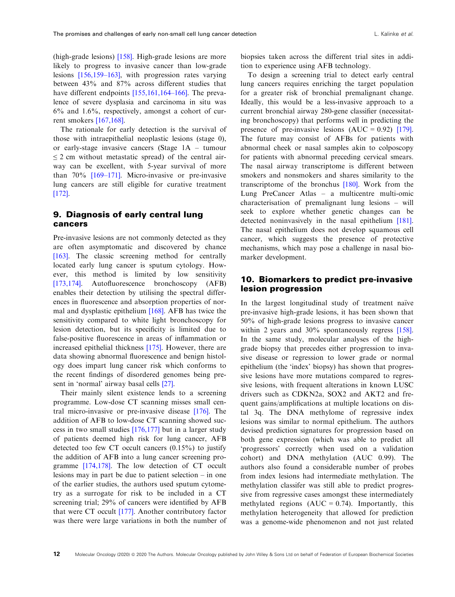(high-grade lesions) [\[158](#page-19-0)]. High-grade lesions are more likely to progress to invasive cancer than low-grade lesions [[156,159](#page-19-0)–163], with progression rates varying between 43% and 87% across different studies that have different endpoints [[155,161,164](#page-19-0)–166]. The prevalence of severe dysplasia and carcinoma in situ was  $6\%$  and  $1.6\%$ , respectively, amongst a cohort of current smokers [\[167,168](#page-19-0)].

The rationale for early detection is the survival of those with intraepithelial neoplastic lesions (stage 0), or early-stage invasive cancers (Stage 1A – tumour  $\leq$  2 cm without metastatic spread) of the central airway can be excellent, with 5-year survival of more than 70% [[169](#page-19-0)–[171\]](#page-19-0). Micro-invasive or pre-invasive lung cancers are still eligible for curative treatment [\[172](#page-19-0)].

### 9. Diagnosis of early central lung cancers

Pre-invasive lesions are not commonly detected as they are often asymptomatic and discovered by chance [\[163](#page-19-0)]. The classic screening method for centrally located early lung cancer is sputum cytology. However, this method is limited by low sensitivity [\[173,174](#page-20-0)]. Autofluorescence bronchoscopy (AFB) enables their detection by utilising the spectral differences in fluorescence and absorption properties of normal and dysplastic epithelium [\[168\]](#page-19-0). AFB has twice the sensitivity compared to white light bronchoscopy for lesion detection, but its specificity is limited due to false-positive fluorescence in areas of inflammation or increased epithelial thickness [\[175\]](#page-20-0). However, there are data showing abnormal fluorescence and benign histology does impart lung cancer risk which conforms to the recent findings of disordered genomes being present in 'normal' airway basal cells [[27](#page-13-0)].

Their mainly silent existence lends to a screening programme. Low-dose CT scanning misses small central micro-invasive or pre-invasive disease [\[176](#page-20-0)]. The addition of AFB to low-dose CT scanning showed success in two small studies [\[176,177](#page-20-0)] but in a larger study of patients deemed high risk for lung cancer, AFB detected too few CT occult cancers  $(0.15\%)$  to justify the addition of AFB into a lung cancer screening programme [\[174,178](#page-20-0)]. The low detection of CT occult lesions may in part be due to patient selection – in one of the earlier studies, the authors used sputum cytometry as a surrogate for risk to be included in a CT screening trial; 29% of cancers were identified by AFB that were CT occult [[177](#page-20-0)]. Another contributory factor was there were large variations in both the number of biopsies taken across the different trial sites in addition to experience using AFB technology.

To design a screening trial to detect early central lung cancers requires enriching the target population for a greater risk of bronchial premalignant change. Ideally, this would be a less-invasive approach to a current bronchial airway 280-gene classifier (necessitating bronchoscopy) that performs well in predicting the presence of pre-invasive lesions  $(AUC = 0.92)$  [\[179](#page-20-0)]. The future may consist of AFBs for patients with abnormal cheek or nasal samples akin to colposcopy for patients with abnormal preceding cervical smears. The nasal airway transcriptome is different between smokers and nonsmokers and shares similarity to the transcriptome of the bronchus  $[180]$  $[180]$ . Work from the Lung PreCancer Atlas – a multicentre multi-omic characterisation of premalignant lung lesions – will seek to explore whether genetic changes can be detected noninvasively in the nasal epithelium [\[181](#page-20-0)]. The nasal epithelium does not develop squamous cell cancer, which suggests the presence of protective mechanisms, which may pose a challenge in nasal biomarker development.

### 10. Biomarkers to predict pre-invasive lesion progression

In the largest longitudinal study of treatment naïve pre-invasive high-grade lesions, it has been shown that 50% of high-grade lesions progress to invasive cancer within 2 years and 30% spontaneously regress [\[158](#page-19-0)]. In the same study, molecular analyses of the highgrade biopsy that precedes either progression to invasive disease or regression to lower grade or normal epithelium (the 'index' biopsy) has shown that progressive lesions have more mutations compared to regressive lesions, with frequent alterations in known LUSC drivers such as CDKN2a, SOX2 and AKT2 and frequent gains/amplifications at multiple locations on distal 3q. The DNA methylome of regressive index lesions was similar to normal epithelium. The authors devised prediction signatures for progression based on both gene expression (which was able to predict all 'progressors' correctly when used on a validation cohort) and DNA methylation (AUC 0.99). The authors also found a considerable number of probes from index lesions had intermediate methylation. The methylation classifer was still able to predict progressive from regressive cases amongst these intermediately methylated regions  $(AUC = 0.74)$ . Importantly, this methylation heterogeneity that allowed for prediction was a genome-wide phenomenon and not just related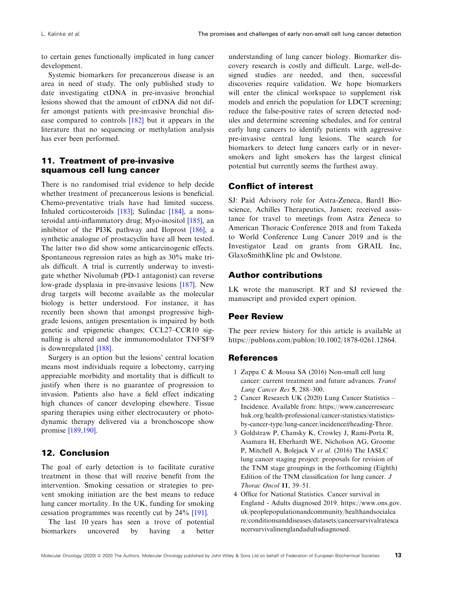<span id="page-12-0"></span>to certain genes functionally implicated in lung cancer development.

Systemic biomarkers for precancerous disease is an area in need of study. The only published study to date investigating ctDNA in pre-invasive bronchial lesions showed that the amount of ctDNA did not differ amongst patients with pre-invasive bronchial disease compared to controls [\[182\]](#page-20-0) but it appears in the literature that no sequencing or methylation analysis has ever been performed.

# 11. Treatment of pre-invasive squamous cell lung cancer

There is no randomised trial evidence to help decide whether treatment of precancerous lesions is beneficial. Chemo-preventative trials have had limited success. Inhaled corticosteroids [[183\]](#page-20-0); Sulindac [[184\]](#page-20-0), a nonsteroidal anti-inflammatory drug; Myo-inositol [[185](#page-20-0)], an inhibitor of the PI3K pathway and Iloprost [\[186\]](#page-20-0), a synthetic analogue of prostacyclin have all been tested. The latter two did show some anticarcinogenic effects. Spontaneous regression rates as high as 30% make trials difficult. A trial is currently underway to investigate whether Nivolumab (PD-1 antagonist) can reverse low-grade dysplasia in pre-invasive lesions [\[187](#page-20-0)]. New drug targets will become available as the molecular biology is better understood. For instance, it has recently been shown that amongst progressive highgrade lesions, antigen presentation is impaired by both genetic and epigenetic changes; CCL27–CCR10 signalling is altered and the immunomodulator TNFSF9 is downregulated [[188](#page-20-0)].

Surgery is an option but the lesions' central location means most individuals require a lobectomy, carrying appreciable morbidity and mortality that is difficult to justify when there is no guarantee of progression to invasion. Patients also have a field effect indicating high chances of cancer developing elsewhere. Tissue sparing therapies using either electrocautery or photodynamic therapy delivered via a bronchoscope show promise [[189,190\]](#page-20-0).

# 12. Conclusion

The goal of early detection is to facilitate curative treatment in those that will receive benefit from the intervention. Smoking cessation or strategies to prevent smoking initiation are the best means to reduce lung cancer mortality. In the UK, funding for smoking cessation programmes was recently cut by 24% [[191](#page-20-0)].

The last 10 years has seen a trove of potential biomarkers uncovered by having a better

understanding of lung cancer biology. Biomarker discovery research is costly and difficult. Large, well-designed studies are needed, and then, successful discoveries require validation. We hope biomarkers will enter the clinical workspace to supplement risk models and enrich the population for LDCT screening; reduce the false-positive rates of screen detected nodules and determine screening schedules, and for central early lung cancers to identify patients with aggressive pre-invasive central lung lesions. The search for biomarkers to detect lung cancers early or in neversmokers and light smokers has the largest clinical potential but currently seems the furthest away.

# Conflict of interest

SJ: Paid Advisory role for Astra-Zeneca, Bard1 Bioscience, Achilles Therapeutics, Jansen; received assistance for travel to meetings from Astra Zeneca to American Thoracic Conference 2018 and from Takeda to World Conference Lung Cancer 2019 and is the Investigator Lead on grants from GRAIL Inc, GlaxoSmithKline plc and Owlstone.

### Author contributions

LK wrote the manuscript. RT and SJ reviewed the manuscript and provided expert opinion.

### Peer Review

The peer review history for this article is available at [https://publons.com/publon/10.1002/1878-0261.12864.](https://publons.com/publon/10.1002/1878-0261.12864)

### References

- 1 Zappa C & Mousa SA (2016) Non-small cell lung cancer: current treatment and future advances. Transl Lung Cancer Res 5, 288–300.
- 2 Cancer Research UK (2020) Lung Cancer Statistics Incidence. Available from: [https://www.cancerresearc](http://www.cancerresearchuk.org/health-professional/cancer-statistics/statistics-by-cancer-type/lung-cancer/incidence#heading-Three) [huk.org/health-professional/cancer-statistics/statistics](http://www.cancerresearchuk.org/health-professional/cancer-statistics/statistics-by-cancer-type/lung-cancer/incidence#heading-Three)[by-cancer-type/lung-cancer/incidence#heading-Three](http://www.cancerresearchuk.org/health-professional/cancer-statistics/statistics-by-cancer-type/lung-cancer/incidence#heading-Three).
- 3 Goldstraw P, Chansky K, Crowley J, Rami-Porta R, Asamura H, Eberhardt WE, Nicholson AG, Groome P, Mitchell A, Bolejack V et al. (2016) The IASLC lung cancer staging project: proposals for revision of the TNM stage groupings in the forthcoming (Eighth) Edition of the TNM classification for lung cancer. J Thorac Oncol 11, 39–51.
- 4 Office for National Statistics. Cancer survival in England - Adults diagnosed 2019. [https://www.ons.gov.](https://www.ons.gov.uk/peoplepopulationandcommunity/healthandsocialcare/conditionsanddiseases/datasets/cancersurvivalratescancersurvivalinenglandadultsdiagnosed) [uk/peoplepopulationandcommunity/healthandsocialca](https://www.ons.gov.uk/peoplepopulationandcommunity/healthandsocialcare/conditionsanddiseases/datasets/cancersurvivalratescancersurvivalinenglandadultsdiagnosed) [re/conditionsanddiseases/datasets/cancersurvivalratesca](https://www.ons.gov.uk/peoplepopulationandcommunity/healthandsocialcare/conditionsanddiseases/datasets/cancersurvivalratescancersurvivalinenglandadultsdiagnosed) [ncersurvivalinenglandadultsdiagnosed.](https://www.ons.gov.uk/peoplepopulationandcommunity/healthandsocialcare/conditionsanddiseases/datasets/cancersurvivalratescancersurvivalinenglandadultsdiagnosed)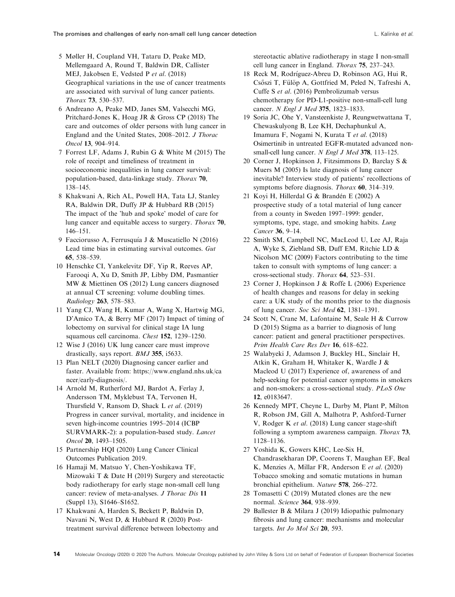- <span id="page-13-0"></span>5 Møller H, Coupland VH, Tataru D, Peake MD, Mellemgaard A, Round T, Baldwin DR, Callister MEJ, Jakobsen E, Vedsted P et al. (2018) Geographical variations in the use of cancer treatments are associated with survival of lung cancer patients. Thorax 73, 530–537.
- 6 Andreano A, Peake MD, Janes SM, Valsecchi MG, Pritchard-Jones K, Hoag JR & Gross CP (2018) The care and outcomes of older persons with lung cancer in England and the United States, 2008–2012. J Thorac Oncol 13, 904–914.
- 7 Forrest LF, Adams J, Rubin G & White M (2015) The role of receipt and timeliness of treatment in socioeconomic inequalities in lung cancer survival: population-based, data-linkage study. Thorax 70, 138–145.
- 8 Khakwani A, Rich AL, Powell HA, Tata LJ, Stanley RA, Baldwin DR, Duffy JP & Hubbard RB (2015) The impact of the 'hub and spoke' model of care for lung cancer and equitable access to surgery. Thorax 70, 146–151.
- 9 Facciorusso A, Ferrusquía J & Muscatiello N (2016) Lead time bias in estimating survival outcomes. Gut 65, 538–539.
- 10 Henschke CI, Yankelevitz DF, Yip R, Reeves AP, Farooqi A, Xu D, Smith JP, Libby DM, Pasmantier MW & Miettinen OS (2012) Lung cancers diagnosed at annual CT screening: volume doubling times. Radiology 263, 578–583.
- 11 Yang CJ, Wang H, Kumar A, Wang X, Hartwig MG, D'Amico TA, & Berry MF (2017) Impact of timing of lobectomy on survival for clinical stage IA lung squamous cell carcinoma. Chest 152, 1239–1250.
- 12 Wise J (2016) UK lung cancer care must improve drastically, says report. BMJ 355, i5633.
- 13 Plan NELT (2020) Diagnosing cancer earlier and faster. Available from: [https://www.england.nhs.uk/ca](https://www.england.nhs.uk/cancer/early-diagnosis/) [ncer/early-diagnosis/.](https://www.england.nhs.uk/cancer/early-diagnosis/)
- 14 Arnold M, Rutherford MJ, Bardot A, Ferlay J, Andersson TM, Myklebust TA, Tervonen H, Thursfield V, Ransom D, Shack L et al. (2019) Progress in cancer survival, mortality, and incidence in seven high-income countries 1995–2014 (ICBP SURVMARK-2): a population-based study. Lancet Oncol 20, 1493–1505.
- 15 Partnership HQI (2020) Lung Cancer Clinical Outcomes Publication 2019.
- 16 Hamaji M, Matsuo Y, Chen-Yoshikawa TF, Mizowaki T & Date H (2019) Surgery and stereotactic body radiotherapy for early stage non-small cell lung cancer: review of meta-analyses. J Thorac Dis 11 (Suppl 13), S1646–S1652.
- 17 Khakwani A, Harden S, Beckett P, Baldwin D, Navani N, West D, & Hubbard R (2020) Posttreatment survival difference between lobectomy and

stereotactic ablative radiotherapy in stage I non-small cell lung cancer in England. Thorax 75, 237–243.

- 18 Reck M, Rodríguez-Abreu D, Robinson AG, Hui R, Csőszi T, Fülöp A, Gottfried M, Peled N, Tafreshi A, Cuffe S et al. (2016) Pembrolizumab versus chemotherapy for PD-L1-positive non-small-cell lung cancer. N Engl J Med 375, 1823–1833.
- 19 Soria JC, Ohe Y, Vansteenkiste J, Reungwetwattana T, Chewaskulyong B, Lee KH, Dechaphunkul A, Imamura F, Nogami N, Kurata T et al. (2018) Osimertinib in untreated EGFR-mutated advanced nonsmall-cell lung cancer. N Engl J Med 378, 113-125.
- 20 Corner J, Hopkinson J, Fitzsimmons D, Barclay S & Muers M (2005) Is late diagnosis of lung cancer inevitable? Interview study of patients' recollections of symptoms before diagnosis. Thorax 60, 314-319.
- 21 Koyi H, Hillerdal G & Brandén E (2002) A prospective study of a total material of lung cancer from a county in Sweden 1997–1999: gender, symptoms, type, stage, and smoking habits. Lung Cancer 36, 9–14.
- 22 Smith SM, Campbell NC, MacLeod U, Lee AJ, Raja A, Wyke S, Ziebland SB, Duff EM, Ritchie LD & Nicolson MC (2009) Factors contributing to the time taken to consult with symptoms of lung cancer: a cross-sectional study. Thorax 64, 523–531.
- 23 Corner J, Hopkinson J & Roffe L (2006) Experience of health changes and reasons for delay in seeking care: a UK study of the months prior to the diagnosis of lung cancer. Soc Sci Med 62, 1381–1391.
- 24 Scott N, Crane M, Lafontaine M, Seale H & Currow D (2015) Stigma as a barrier to diagnosis of lung cancer: patient and general practitioner perspectives. Prim Health Care Res Dev 16, 618–622.
- 25 Walabyeki J, Adamson J, Buckley HL, Sinclair H, Atkin K, Graham H, Whitaker K, Wardle J & Macleod U (2017) Experience of, awareness of and help-seeking for potential cancer symptoms in smokers and non-smokers: a cross-sectional study. PLoS One 12, e0183647.
- 26 Kennedy MPT, Cheyne L, Darby M, Plant P, Milton R, Robson JM, Gill A, Malhotra P, Ashford-Turner V, Rodger K et al. (2018) Lung cancer stage-shift following a symptom awareness campaign. Thorax 73, 1128–1136.
- 27 Yoshida K, Gowers KHC, Lee-Six H, Chandrasekharan DP, Coorens T, Maughan EF, Beal K, Menzies A, Millar FR, Anderson E et al. (2020) Tobacco smoking and somatic mutations in human bronchial epithelium. Nature 578, 266–272.
- 28 Tomasetti C (2019) Mutated clones are the new normal. Science 364, 938–939.
- 29 Ballester B & Milara J (2019) Idiopathic pulmonary fibrosis and lung cancer: mechanisms and molecular targets. Int Jo Mol Sci 20, 593.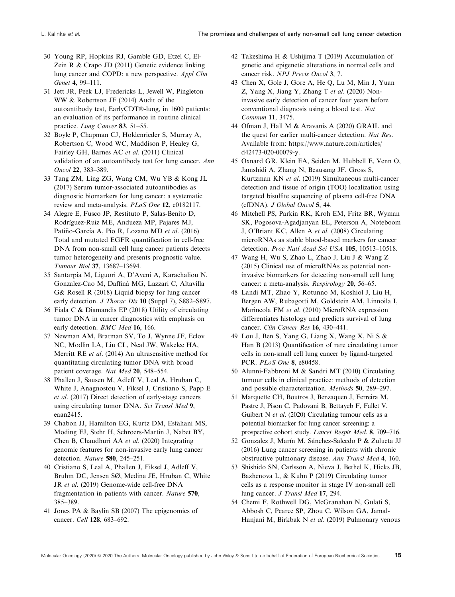- <span id="page-14-0"></span>30 Young RP, Hopkins RJ, Gamble GD, Etzel C, El-Zein R & Crapo JD (2011) Genetic evidence linking lung cancer and COPD: a new perspective. Appl Clin Genet 4, 99–111.
- 31 Jett JR, Peek LJ, Fredericks L, Jewell W, Pingleton WW & Robertson JF (2014) Audit of the autoantibody test, EarlyCDT®-lung, in 1600 patients: an evaluation of its performance in routine clinical practice. Lung Cancer 83, 51–55.
- 32 Boyle P, Chapman CJ, Holdenrieder S, Murray A, Robertson C, Wood WC, Maddison P, Healey G, Fairley GH, Barnes AC et al. (2011) Clinical validation of an autoantibody test for lung cancer. Ann Oncol 22, 383–389.
- 33 Tang ZM, Ling ZG, Wang CM, Wu YB & Kong JL (2017) Serum tumor-associated autoantibodies as diagnostic biomarkers for lung cancer: a systematic review and meta-analysis. PLoS One 12, e0182117.
- 34 Alegre E, Fusco JP, Restituto P, Salas-Benito D, Rodríguez-Ruiz ME, Andueza MP, Pajares MJ, Patiño-García A, Pio R, Lozano MD et al. (2016) Total and mutated EGFR quantification in cell-free DNA from non-small cell lung cancer patients detects tumor heterogeneity and presents prognostic value. Tumour Biol 37, 13687–13694.
- 35 Santarpia M, Liguori A, D'Aveni A, Karachaliou N, Gonzalez-Cao M, Daffina MG, Lazzari C, Altavilla G& Rosell R (2018) Liquid biopsy for lung cancer early detection. J Thorac Dis 10 (Suppl 7), S882-S897.
- 36 Fiala C & Diamandis EP (2018) Utility of circulating tumor DNA in cancer diagnostics with emphasis on early detection. BMC Med 16, 166.
- 37 Newman AM, Bratman SV, To J, Wynne JF, Eclov NC, Modlin LA, Liu CL, Neal JW, Wakelee HA, Merritt RE et al. (2014) An ultrasensitive method for quantitating circulating tumor DNA with broad patient coverage. Nat Med 20, 548–554.
- 38 Phallen J, Sausen M, Adleff V, Leal A, Hruban C, White J, Anagnostou V, Fiksel J, Cristiano S, Papp E et al. (2017) Direct detection of early-stage cancers using circulating tumor DNA. Sci Transl Med 9, eaan2415.
- 39 Chabon JJ, Hamilton EG, Kurtz DM, Esfahani MS, Moding EJ, Stehr H, Schroers-Martin J, Nabet BY, Chen B, Chaudhuri AA et al. (2020) Integrating genomic features for non-invasive early lung cancer detection. Nature 580, 245–251.
- 40 Cristiano S, Leal A, Phallen J, Fiksel J, Adleff V, Bruhm DC, Jensen SØ, Medina JE, Hruban C, White JR et al. (2019) Genome-wide cell-free DNA fragmentation in patients with cancer. Nature 570, 385–389.
- 41 Jones PA & Baylin SB (2007) The epigenomics of cancer. Cell 128, 683–692.
- 42 Takeshima H & Ushijima T (2019) Accumulation of genetic and epigenetic alterations in normal cells and cancer risk. NPJ Precis Oncol 3, 7.
- 43 Chen X, Gole J, Gore A, He Q, Lu M, Min J, Yuan Z, Yang X, Jiang Y, Zhang T et al. (2020) Noninvasive early detection of cancer four years before conventional diagnosis using a blood test. Nat Commun 11, 3475.
- 44 Ofman J, Hall M & Aravanis A (2020) GRAIL and the quest for earlier multi-cancer detection. Nat Res. Available from: [https://www.nature.com/articles/](https://www.nature.com/articles/d42473-020-00079-y) [d42473-020-00079-y.](https://www.nature.com/articles/d42473-020-00079-y)
- 45 Oxnard GR, Klein EA, Seiden M, Hubbell E, Venn O, Jamshidi A, Zhang N, Beausang JF, Gross S, Kurtzman KN et al. (2019) Simultaneous multi-cancer detection and tissue of origin (TOO) localization using targeted bisulfite sequencing of plasma cell-free DNA (cfDNA). J Global Oncol 5, 44.
- 46 Mitchell PS, Parkin RK, Kroh EM, Fritz BR, Wyman SK, Pogosova-Agadjanyan EL, Peterson A, Noteboom J, O'Briant KC, Allen A et al. (2008) Circulating microRNAs as stable blood-based markers for cancer detection. Proc Natl Acad Sci USA 105, 10513-10518.
- 47 Wang H, Wu S, Zhao L, Zhao J, Liu J & Wang Z (2015) Clinical use of microRNAs as potential noninvasive biomarkers for detecting non-small cell lung cancer: a meta-analysis. Respirology 20, 56–65.
- 48 Landi MT, Zhao Y, Rotunno M, Koshiol J, Liu H, Bergen AW, Rubagotti M, Goldstein AM, Linnoila I, Marincola FM et al. (2010) MicroRNA expression differentiates histology and predicts survival of lung cancer. Clin Cancer Res 16, 430–441.
- 49 Lou J, Ben S, Yang G, Liang X, Wang X, Ni S & Han B (2013) Quantification of rare circulating tumor cells in non-small cell lung cancer by ligand-targeted PCR. PLoS One 8, e80458.
- 50 Alunni-Fabbroni M & Sandri MT (2010) Circulating tumour cells in clinical practice: methods of detection and possible characterization. Methods 50, 289–297.
- 51 Marquette CH, Boutros J, Benzaquen J, Ferreira M, Pastre J, Pison C, Padovani B, Bettayeb F, Fallet V, Guibert N et al. (2020) Circulating tumour cells as a potential biomarker for lung cancer screening: a prospective cohort study. Lancet Respir Med. 8, 709–716.
- 52 Gonzalez J, Marín M, Sánchez-Salcedo P & Zulueta JJ (2016) Lung cancer screening in patients with chronic obstructive pulmonary disease. Ann Transl Med 4, 160.
- 53 Shishido SN, Carlsson A, Nieva J, Bethel K, Hicks JB, Bazhenova L, & Kuhn P (2019) Circulating tumor cells as a response monitor in stage IV non-small cell lung cancer. J Transl Med 17, 294.
- 54 Chemi F, Rothwell DG, McGranahan N, Gulati S, Abbosh C, Pearce SP, Zhou C, Wilson GA, Jamal-Hanjani M, Birkbak N et al. (2019) Pulmonary venous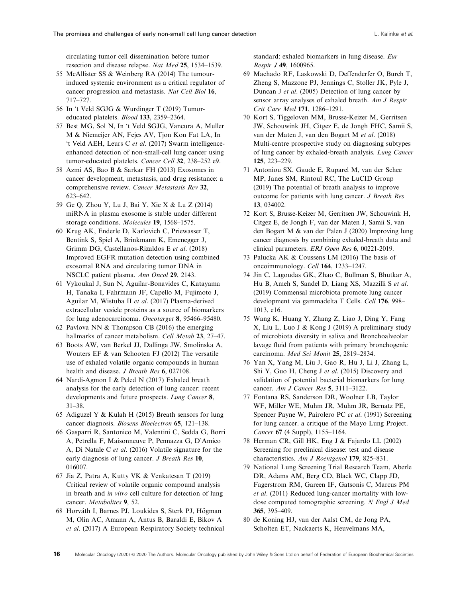<span id="page-15-0"></span>circulating tumor cell dissemination before tumor resection and disease relapse. Nat Med 25, 1534–1539.

- 55 McAllister SS & Weinberg RA (2014) The tumourinduced systemic environment as a critical regulator of cancer progression and metastasis. Nat Cell Biol 16, 717–727.
- 56 In 't Veld SGJG & Wurdinger T (2019) Tumoreducated platelets. Blood 133, 2359–2364.
- 57 Best MG, Sol N, In 't Veld SGJG, Vancura A, Muller M & Niemeijer AN, Fejes AV, Tjon Kon Fat LA, In 't Veld AEH, Leurs C et al. (2017) Swarm intelligenceenhanced detection of non-small-cell lung cancer using tumor-educated platelets. Cancer Cell 32, 238-252 e9.
- 58 Azmi AS, Bao B & Sarkar FH (2013) Exosomes in cancer development, metastasis, and drug resistance: a comprehensive review. Cancer Metastasis Rev 32, 623–642.
- 59 Ge Q, Zhou Y, Lu J, Bai Y, Xie X & Lu Z (2014) miRNA in plasma exosome is stable under different storage conditions. Molecules 19, 1568–1575.
- 60 Krug AK, Enderle D, Karlovich C, Priewasser T, Bentink S, Spiel A, Brinkmann K, Emenegger J, Grimm DG, Castellanos-Rizaldos E et al. (2018) Improved EGFR mutation detection using combined exosomal RNA and circulating tumor DNA in NSCLC patient plasma. Ann Oncol 29, 2143.
- 61 Vykoukal J, Sun N, Aguilar-Bonavides C, Katayama H, Tanaka I, Fahrmann JF, Capello M, Fujimoto J, Aguilar M, Wistuba II et al. (2017) Plasma-derived extracellular vesicle proteins as a source of biomarkers for lung adenocarcinoma. Oncotarget 8, 95466–95480.
- 62 Pavlova NN & Thompson CB (2016) the emerging hallmarks of cancer metabolism. Cell Metab 23, 27-47.
- 63 Boots AW, van Berkel JJ, Dallinga JW, Smolinska A, Wouters EF & van Schooten FJ (2012) The versatile use of exhaled volatile organic compounds in human health and disease. *J Breath Res* 6, 027108.
- 64 Nardi-Agmon I & Peled N (2017) Exhaled breath analysis for the early detection of lung cancer: recent developments and future prospects. Lung Cancer 8, 31–38.
- 65 Adiguzel Y & Kulah H (2015) Breath sensors for lung cancer diagnosis. Biosens Bioelectron 65, 121–138.
- 66 Gasparri R, Santonico M, Valentini C, Sedda G, Borri A, Petrella F, Maisonneuve P, Pennazza G, D'Amico A, Di Natale C et al. (2016) Volatile signature for the early diagnosis of lung cancer. J Breath Res 10, 016007.
- 67 Jia Z, Patra A, Kutty VK & Venkatesan T (2019) Critical review of volatile organic compound analysis in breath and in vitro cell culture for detection of lung cancer. Metabolites 9, 52.
- 68 Horváth I, Barnes PJ, Loukides S, Sterk PJ, Högman M, Olin AC, Amann A, Antus B, Baraldi E, Bikov A et al. (2017) A European Respiratory Society technical

standard: exhaled biomarkers in lung disease. Eur Respir J 49, 1600965.

- 69 Machado RF, Laskowski D, Deffenderfer O, Burch T, Zheng S, Mazzone PJ, Jennings C, Stoller JK, Pyle J, Duncan J et al. (2005) Detection of lung cancer by sensor array analyses of exhaled breath. Am J Respir Crit Care Med 171, 1286–1291.
- 70 Kort S, Tiggeloven MM, Brusse-Keizer M, Gerritsen JW, Schouwink JH, Citgez E, de Jongh FHC, Samii S, van der Maten J, van den Bogart M et al. (2018) Multi-centre prospective study on diagnosing subtypes of lung cancer by exhaled-breath analysis. Lung Cancer 125, 223–229.
- 71 Antoniou SX, Gaude E, Ruparel M, van der Schee MP, Janes SM, Rintoul RC, The LuCID Group (2019) The potential of breath analysis to improve outcome for patients with lung cancer. J Breath Res 13, 034002.
- 72 Kort S, Brusse-Keizer M, Gerritsen JW, Schouwink H, Citgez E, de Jongh F, van der Maten J, Samii S, van den Bogart M & van der Palen J (2020) Improving lung cancer diagnosis by combining exhaled-breath data and clinical parameters. ERJ Open Res 6, 00221-2019.
- 73 Palucka AK & Coussens LM (2016) The basis of oncoimmunology. Cell 164, 1233–1247.
- 74 Jin C, Lagoudas GK, Zhao C, Bullman S, Bhutkar A, Hu B, Ameh S, Sandel D, Liang XS, Mazzilli S et al. (2019) Commensal microbiota promote lung cancer development via gammadelta T Cells. Cell 176, 998– 1013, e16.
- 75 Wang K, Huang Y, Zhang Z, Liao J, Ding Y, Fang X, Liu L, Luo J & Kong J (2019) A preliminary study of microbiota diversity in saliva and Bronchoalveolar lavage fluid from patients with primary bronchogenic carcinoma. Med Sci Monit 25, 2819–2834.
- 76 Yan X, Yang M, Liu J, Gao R, Hu J, Li J, Zhang L, Shi Y, Guo H, Cheng J et al. (2015) Discovery and validation of potential bacterial biomarkers for lung cancer. Am J Cancer Res 5, 3111-3122.
- 77 Fontana RS, Sanderson DR, Woolner LB, Taylor WF, Miller WE, Muhm JR, Muhm JR, Bernatz PE, Spencer Payne W, Pairolero PC et al. (1991) Screening for lung cancer. a critique of the Mayo Lung Project. Cancer 67 (4 Suppl), 1155–1164.
- 78 Herman CR, Gill HK, Eng J & Fajardo LL (2002) Screening for preclinical disease: test and disease characteristics. Am J Roentgenol 179, 825–831.
- 79 National Lung Screening Trial Research Team, Aberle DR, Adams AM, Berg CD, Black WC, Clapp JD, Fagerstrom RM, Gareen IF, Gatsonis C, Marcus PM et al. (2011) Reduced lung-cancer mortality with lowdose computed tomographic screening. N Engl J Med 365, 395–409.
- 80 de Koning HJ, van der Aalst CM, de Jong PA, Scholten ET, Nackaerts K, Heuvelmans MA,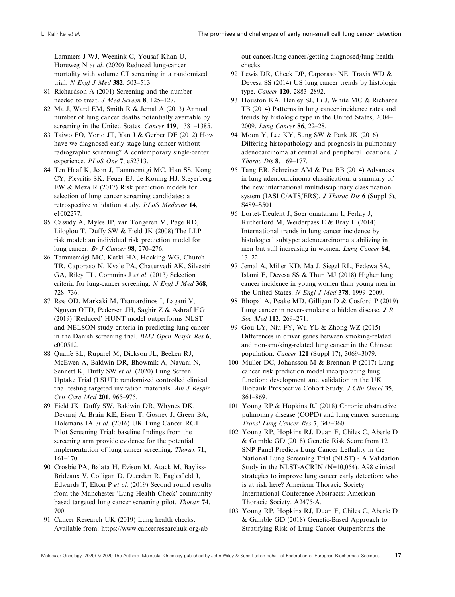<span id="page-16-0"></span>Lammers J-WJ, Weenink C, Yousaf-Khan U, Horeweg N et al. (2020) Reduced lung-cancer mortality with volume CT screening in a randomized trial. N Engl J Med 382, 503-513.

- 81 Richardson A (2001) Screening and the number needed to treat. J Med Screen 8, 125–127.
- 82 Ma J, Ward EM, Smith R & Jemal A (2013) Annual number of lung cancer deaths potentially avertable by screening in the United States. Cancer 119, 1381-1385.
- 83 Taiwo EO, Yorio JT, Yan J & Gerber DE (2012) How have we diagnosed early-stage lung cancer without radiographic screening? A contemporary single-center experience. PLoS One 7, e52313.
- 84 Ten Haaf K, Jeon J, Tammemägi MC, Han SS, Kong CY, Plevritis SK, Feuer EJ, de Koning HJ, Steyerberg EW & Meza R (2017) Risk prediction models for selection of lung cancer screening candidates: a retrospective validation study. PLoS Medicine 14, e1002277.
- 85 Cassidy A, Myles JP, van Tongeren M, Page RD, Liloglou T, Duffy SW & Field JK (2008) The LLP risk model: an individual risk prediction model for lung cancer. Br J Cancer 98, 270–276.
- 86 Tammemägi MC, Katki HA, Hocking WG, Church TR, Caporaso N, Kvale PA, Chaturvedi AK, Silvestri GA, Riley TL, Commins J et al. (2013) Selection criteria for lung-cancer screening. N Engl J Med 368, 728–736.
- 87 Røe OD, Markaki M, Tsamardinos I, Lagani V, Nguyen OTD, Pedersen JH, Saghir Z & Ashraf HG (2019) 'Reduced' HUNT model outperforms NLST and NELSON study criteria in predicting lung cancer in the Danish screening trial. BMJ Open Respir Res 6, e000512.
- 88 Quaife SL, Ruparel M, Dickson JL, Beeken RJ, McEwen A, Baldwin DR, Bhowmik A, Navani N, Sennett K, Duffy SW et al. (2020) Lung Screen Uptake Trial (LSUT): randomized controlled clinical trial testing targeted invitation materials. Am J Respir Crit Care Med 201, 965–975.
- 89 Field JK, Duffy SW, Baldwin DR, Whynes DK, Devaraj A, Brain KE, Eisen T, Gosney J, Green BA, Holemans JA et al. (2016) UK Lung Cancer RCT Pilot Screening Trial: baseline findings from the screening arm provide evidence for the potential implementation of lung cancer screening. Thorax 71, 161–170.
- 90 Crosbie PA, Balata H, Evison M, Atack M, Bayliss-Brideaux V, Colligan D, Duerden R, Eaglesfield J, Edwards T, Elton P et al. (2019) Second round results from the Manchester 'Lung Health Check' communitybased targeted lung cancer screening pilot. Thorax 74, 700.
- 91 Cancer Research UK (2019) Lung health checks. Available from: [https://www.cancerresearchuk.org/ab](https://www.cancerresearchuk.org/about-cancer/lung-cancer/getting-diagnosed/lung-health-checks)

[out-cancer/lung-cancer/getting-diagnosed/lung-health](https://www.cancerresearchuk.org/about-cancer/lung-cancer/getting-diagnosed/lung-health-checks)[checks](https://www.cancerresearchuk.org/about-cancer/lung-cancer/getting-diagnosed/lung-health-checks).

- 92 Lewis DR, Check DP, Caporaso NE, Travis WD & Devesa SS (2014) US lung cancer trends by histologic type. Cancer 120, 2883–2892.
- 93 Houston KA, Henley SJ, Li J, White MC & Richards TB (2014) Patterns in lung cancer incidence rates and trends by histologic type in the United States, 2004– 2009. Lung Cancer 86, 22–28.
- 94 Moon Y, Lee KY, Sung SW & Park JK (2016) Differing histopathology and prognosis in pulmonary adenocarcinoma at central and peripheral locations. J Thorac Dis 8, 169–177.
- 95 Tang ER, Schreiner AM & Pua BB (2014) Advances in lung adenocarcinoma classification: a summary of the new international multidisciplinary classification system (IASLC/ATS/ERS). *J Thorac Dis* 6 (Suppl 5), S489–S501.
- 96 Lortet-Tieulent J, Soerjomataram I, Ferlay J, Rutherford M, Weiderpass E & Bray F (2014) International trends in lung cancer incidence by histological subtype: adenocarcinoma stabilizing in men but still increasing in women. Lung Cancer 84, 13–22.
- 97 Jemal A, Miller KD, Ma J, Siegel RL, Fedewa SA, Islami F, Devesa SS & Thun MJ (2018) Higher lung cancer incidence in young women than young men in the United States. N Engl J Med 378, 1999–2009.
- 98 Bhopal A, Peake MD, Gilligan D & Cosford P (2019) Lung cancer in never-smokers: a hidden disease. J R Soc Med 112, 269-271.
- 99 Gou LY, Niu FY, Wu YL & Zhong WZ (2015) Differences in driver genes between smoking-related and non-smoking-related lung cancer in the Chinese population. Cancer 121 (Suppl 17), 3069–3079.
- 100 Muller DC, Johansson M & Brennan P (2017) Lung cancer risk prediction model incorporating lung function: development and validation in the UK Biobank Prospective Cohort Study. J Clin Oncol 35, 861–869.
- 101 Young RP & Hopkins RJ (2018) Chronic obstructive pulmonary disease (COPD) and lung cancer screening. Transl Lung Cancer Res 7, 347–360.
- 102 Young RP, Hopkins RJ, Duan F, Chiles C, Aberle D & Gamble GD (2018) Genetic Risk Score from 12 SNP Panel Predicts Lung Cancer Lethality in the National Lung Screening Trial (NLST) - A Validation Study in the NLST-ACRIN (N=10,054). A98 clinical strategies to improve lung cancer early detection: who is at risk here? American Thoracic Society International Conference Abstracts: American Thoracic Society. A2475-A.
- 103 Young RP, Hopkins RJ, Duan F, Chiles C, Aberle D & Gamble GD (2018) Genetic-Based Approach to Stratifying Risk of Lung Cancer Outperforms the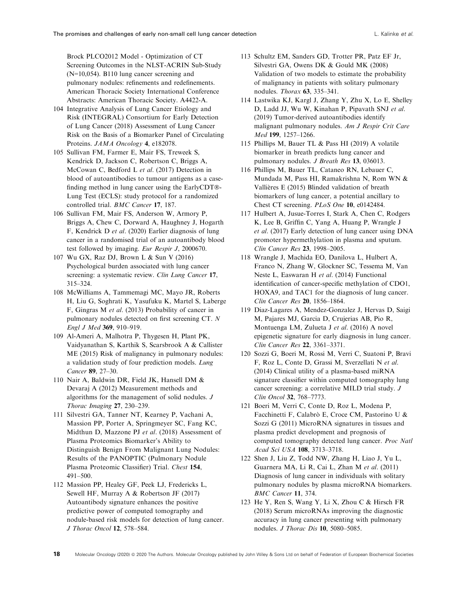<span id="page-17-0"></span>Brock PLCO2012 Model - Optimization of CT Screening Outcomes in the NLST-ACRIN Sub-Study (N=10,054). B110 lung cancer screening and pulmonary nodules: refinements and redefinements. American Thoracic Society International Conference Abstracts: American Thoracic Society. A4422-A.

- 104 Integrative Analysis of Lung Cancer Etiology and Risk (INTEGRAL) Consortium for Early Detection of Lung Cancer (2018) Assessment of Lung Cancer Risk on the Basis of a Biomarker Panel of Circulating Proteins. JAMA Oncology 4, e182078.
- 105 Sullivan FM, Farmer E, Mair FS, Treweek S, Kendrick D, Jackson C, Robertson C, Briggs A, McCowan C, Bedford L et al. (2017) Detection in blood of autoantibodies to tumour antigens as a casefinding method in lung cancer using the  $\text{EarlyCDT@-}$ Lung Test (ECLS): study protocol for a randomized controlled trial. BMC Cancer 17, 187.
- 106 Sullivan FM, Mair FS, Anderson W, Armory P, Briggs A, Chew C, Dorward A, Haughney J, Hogarth F, Kendrick D et al. (2020) Earlier diagnosis of lung cancer in a randomised trial of an autoantibody blood test followed by imaging. Eur Respir J, 2000670.
- 107 Wu GX, Raz DJ, Brown L & Sun V (2016) Psychological burden associated with lung cancer screening: a systematic review. Clin Lung Cancer 17, 315–324.
- 108 McWilliams A, Tammemagi MC, Mayo JR, Roberts H, Liu G, Soghrati K, Yasufuku K, Martel S, Laberge F, Gingras M et al. (2013) Probability of cancer in pulmonary nodules detected on first screening CT. N Engl J Med 369, 910–919.
- 109 Al-Ameri A, Malhotra P, Thygesen H, Plant PK, Vaidyanathan S, Karthik S, Scarsbrook A & Callister ME (2015) Risk of malignancy in pulmonary nodules: a validation study of four prediction models. Lung Cancer 89, 27–30.
- 110 Nair A, Baldwin DR, Field JK, Hansell DM & Devaraj A (2012) Measurement methods and algorithms for the management of solid nodules. J Thorac Imaging 27, 230–239.
- 111 Silvestri GA, Tanner NT, Kearney P, Vachani A, Massion PP, Porter A, Springmeyer SC, Fang KC, Midthun D, Mazzone PJ et al. (2018) Assessment of Plasma Proteomics Biomarker's Ability to Distinguish Benign From Malignant Lung Nodules: Results of the PANOPTIC (Pulmonary Nodule Plasma Proteomic Classifier) Trial. Chest 154, 491–500.
- 112 Massion PP, Healey GF, Peek LJ, Fredericks L, Sewell HF, Murray A & Robertson JF (2017) Autoantibody signature enhances the positive predictive power of computed tomography and nodule-based risk models for detection of lung cancer. J Thorac Oncol 12, 578–584.
- 113 Schultz EM, Sanders GD, Trotter PR, Patz EF Jr, Silvestri GA, Owens DK & Gould MK (2008) Validation of two models to estimate the probability of malignancy in patients with solitary pulmonary nodules. Thorax 63, 335–341.
- 114 Lastwika KJ, Kargl J, Zhang Y, Zhu X, Lo E, Shelley D, Ladd JJ, Wu W, Kinahan P, Pipavath SNJ et al. (2019) Tumor-derived autoantibodies identify malignant pulmonary nodules. Am J Respir Crit Care Med 199, 1257–1266.
- 115 Phillips M, Bauer TL & Pass HI (2019) A volatile biomarker in breath predicts lung cancer and pulmonary nodules. J Breath Res 13, 036013.
- 116 Phillips M, Bauer TL, Cataneo RN, Lebauer C, Mundada M, Pass HI, Ramakrishna N, Rom WN & Vallieres E (2015) Blinded validation of breath biomarkers of lung cancer, a potential ancillary to Chest CT screening. PLoS One 10, e0142484.
- 117 Hulbert A, Jusue-Torres I, Stark A, Chen C, Rodgers K, Lee B, Griffin C, Yang A, Huang P, Wrangle J et al. (2017) Early detection of lung cancer using DNA promoter hypermethylation in plasma and sputum. Clin Cancer Res 23, 1998–2005.
- 118 Wrangle J, Machida EO, Danilova L, Hulbert A, Franco N, Zhang W, Glockner SC, Tessema M, Van Neste L, Easwaran H et al. (2014) Functional identification of cancer-specific methylation of CDO1, HOXA9, and TAC1 for the diagnosis of lung cancer. Clin Cancer Res 20, 1856–1864.
- 119 Diaz-Lagares A, Mendez-Gonzalez J, Hervas D, Saigi M, Pajares MJ, Garcia D, Crujerias AB, Pio R, Montuenga LM, Zulueta J et al. (2016) A novel epigenetic signature for early diagnosis in lung cancer. Clin Cancer Res 22, 3361–3371.
- 120 Sozzi G, Boeri M, Rossi M, Verri C, Suatoni P, Bravi F, Roz L, Conte D, Grassi M, Sverzellati N et al. (2014) Clinical utility of a plasma-based miRNA signature classifier within computed tomography lung cancer screening: a correlative MILD trial study. J Clin Oncol 32, 768–7773.
- 121 Boeri M, Verri C, Conte D, Roz L, Modena P, Facchinetti F, Calabrò E, Croce CM, Pastorino U & Sozzi G (2011) MicroRNA signatures in tissues and plasma predict development and prognosis of computed tomography detected lung cancer. Proc Natl Acad Sci USA 108, 3713–3718.
- 122 Shen J, Liu Z, Todd NW, Zhang H, Liao J, Yu L, Guarnera MA, Li R, Cai L, Zhan M et al. (2011) Diagnosis of lung cancer in individuals with solitary pulmonary nodules by plasma microRNA biomarkers. BMC Cancer 11, 374.
- 123 He Y, Ren S, Wang Y, Li X, Zhou C & Hirsch FR (2018) Serum microRNAs improving the diagnostic accuracy in lung cancer presenting with pulmonary nodules. J Thorac Dis 10, 5080–5085.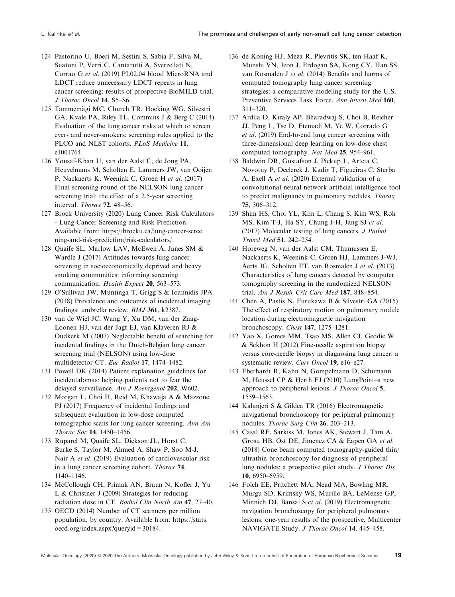- <span id="page-18-0"></span>124 Pastorino U, Boeri M, Sestini S, Sabia F, Silva M, Suatoni P, Verri C, Cantarutti A, Sverzellati N, Corrao G et al. (2019) PL02.04 blood MicroRNA and LDCT reduce unnecessary LDCT repeats in lung cancer screening: results of prospective BioMILD trial. J Thorac Oncol 14, S5–S6.
- 125 Tammemägi MC, Church TR, Hocking WG, Silvestri GA, Kvale PA, Riley TL, Commins J & Berg C (2014) Evaluation of the lung cancer risks at which to screen ever- and never-smokers: screening rules applied to the PLCO and NLST cohorts. PLoS Medicine 11, e1001764.
- 126 Yousaf-Khan U, van der Aalst C, de Jong PA, Heuvelmans M, Scholten E, Lammers JW, van Ooijen P, Nackaerts K, Weenink C, Groen H et al. (2017) Final screening round of the NELSON lung cancer screening trial: the effect of a 2.5-year screening interval. Thorax 72, 48–56.
- 127 Brock University (2020) Lung Cancer Risk Calculators - Lung Cancer Screening and Risk Prediction. Available from: [https://brocku.ca/lung-cancer-scree](https://brocku.ca/lung-cancer-screening-and-risk-prediction/risk-calculators/) [ning-and-risk-prediction/risk-calculators/](https://brocku.ca/lung-cancer-screening-and-risk-prediction/risk-calculators/).
- 128 Quaife SL, Marlow LAV, McEwen A, Janes SM & Wardle J (2017) Attitudes towards lung cancer screening in socioeconomically deprived and heavy smoking communities: informing screening communication. Health Expect 20, 563–573.
- 129 O'Sullivan JW, Muntinga T, Grigg S & Ioannidis JPA (2018) Prevalence and outcomes of incidental imaging findings: umbrella review. BMJ 361, k2387.
- 130 van de Wiel JC, Wang Y, Xu DM, van der Zaag-Loonen HJ, van der Jagt EJ, van Klaveren RJ & Oudkerk M (2007) Neglectable benefit of searching for incidental findings in the Dutch-Belgian lung cancer screening trial (NELSON) using low-dose multidetector CT. Eur Radiol 17, 1474–1482.
- 131 Powell DK (2014) Patient explanation guidelines for incidentalomas: helping patients not to fear the delayed surveillance. Am J Roentgenol 202, W602.
- 132 Morgan L, Choi H, Reid M, Khawaja A & Mazzone PJ (2017) Frequency of incidental findings and subsequent evaluation in low-dose computed tomographic scans for lung cancer screening. Ann Am Thorac Soc 14, 1450–1456.
- 133 Ruparel M, Quaife SL, Dickson JL, Horst C, Burke S, Taylor M, Ahmed A, Shaw P, Soo M-J, Nair A et al. (2019) Evaluation of cardiovascular risk in a lung cancer screening cohort. Thorax 74, 1140–1146.
- 134 McCollough CH, Primak AN, Braun N, Kofler J, Yu L & Christner J (2009) Strategies for reducing radiation dose in CT. Radiol Clin North Am 47, 27–40.
- 135 OECD (2014) Number of CT scanners per million population, by country. Available from: [https://stats.](https://stats.oecd.org/index.aspx?queryid=30184) [oecd.org/index.aspx?queryid=30184](https://stats.oecd.org/index.aspx?queryid=30184).
- 136 de Koning HJ, Meza R, Plevritis SK, ten Haaf K, Munshi VN, Jeon J, Erdogan SA, Kong CY, Han SS, van Rosmalen J et al. (2014) Benefits and harms of computed tomography lung cancer screening strategies: a comparative modeling study for the U.S. Preventive Services Task Force. Ann Intern Med 160, 311–320.
- 137 Ardila D, Kiraly AP, Bharadwaj S, Choi B, Reicher JJ, Peng L, Tse D, Etemadi M, Ye W, Corrado G et al. (2019) End-to-end lung cancer screening with three-dimensional deep learning on low-dose chest computed tomography. Nat Med 25, 954–961.
- 138 Baldwin DR, Gustafson J, Pickup L, Arteta C, Novotny P, Declerck J, Kadir T, Figueiras C, Sterba A, Exell A et al. (2020) External validation of a convolutional neural network artificial intelligence tool to predict malignancy in pulmonary nodules. Thorax 75, 306–312.
- 139 Shim HS, Choi YL, Kim L, Chang S, Kim WS, Roh MS, Kim T-J, Ha SY, Chung J-H, Jang SJ et al. (2017) Molecular testing of lung cancers. J Pathol Transl Med 51, 242–254.
- 140 Horeweg N, van der Aalst CM, Thunnissen E, Nackaerts K, Weenink C, Groen HJ, Lammers J-WJ, Aerts JG, Scholten ET, van Rosmalen J et al. (2013) Characteristics of lung cancers detected by computer tomography screening in the randomized NELSON trial. Am J Respir Crit Care Med 187, 848–854.
- 141 Chen A, Pastis N, Furukawa B & Silvestri GA (2015) The effect of respiratory motion on pulmonary nodule location during electromagnetic navigation bronchoscopy. Chest 147, 1275–1281.
- 142 Yao X, Gomes MM, Tsao MS, Allen CJ, Geddie W & Sekhon H (2012) Fine-needle aspiration biopsy versus core-needle biopsy in diagnosing lung cancer: a systematic review. Curr Oncol 19, e16-e27.
- 143 Eberhardt R, Kahn N, Gompelmann D, Schumann M, Heussel CP & Herth FJ (2010) LungPoint–a new approach to peripheral lesions. J Thorac Oncol 5, 1559–1563.
- 144 Kalanjeri S & Gildea TR (2016) Electromagnetic navigational bronchoscopy for peripheral pulmonary nodules. Thorac Surg Clin 26, 203–213.
- 145 Casal RF, Sarkiss M, Jones AK, Stewart J, Tam A, Grosu HB, Ost DE, Jimenez CA & Eapen GA et al. (2018) Cone beam computed tomography-guided thin/ ultrathin bronchoscopy for diagnosis of peripheral lung nodules: a prospective pilot study. J Thorac Dis 10, 6950–6959.
- 146 Folch EE, Pritchett MA, Nead MA, Bowling MR, Murgu SD, Krimsky WS, Murillo BA, LeMense GP, Minnich DJ, Bansal S et al. (2019) Electromagnetic navigation bronchoscopy for peripheral pulmonary lesions: one-year results of the prospective, Multicenter NAVIGATE Study. J Thorac Oncol 14, 445-458.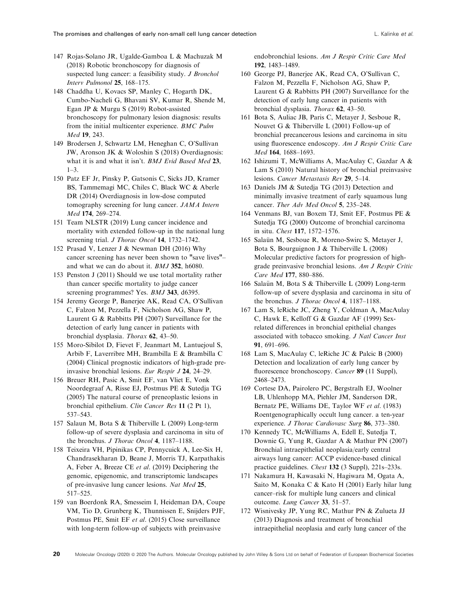- <span id="page-19-0"></span>147 Rojas-Solano JR, Ugalde-Gamboa L & Machuzak M (2018) Robotic bronchoscopy for diagnosis of suspected lung cancer: a feasibility study. J Bronchol Interv Pulmonol 25, 168–175.
- 148 Chaddha U, Kovacs SP, Manley C, Hogarth DK, Cumbo-Nacheli G, Bhavani SV, Kumar R, Shende M, Egan JP & Murgu S (2019) Robot-assisted bronchoscopy for pulmonary lesion diagnosis: results from the initial multicenter experience. BMC Pulm Med 19, 243.
- 149 Brodersen J, Schwartz LM, Heneghan C, O'Sullivan JW, Aronson JK & Woloshin S (2018) Overdiagnosis: what it is and what it isn't. BMJ Evid Based Med 23,  $1-3$ .
- 150 Patz EF Jr, Pinsky P, Gatsonis C, Sicks JD, Kramer BS, Tammemagi MC, Chiles C, Black WC & Aberle DR (2014) Overdiagnosis in low-dose computed tomography screening for lung cancer. JAMA Intern Med 174, 269–274.
- 151 Team NLSTR (2019) Lung cancer incidence and mortality with extended follow-up in the national lung screening trial. J Thorac Oncol 14, 1732-1742.
- 152 Prasad V, Lenzer J & Newman DH (2016) Why cancer screening has never been shown to "save lives"– and what we can do about it. BMJ 352, h6080.
- 153 Penston J (2011) Should we use total mortality rather than cancer specific mortality to judge cancer screening programmes? Yes. *BMJ* 343, d6395.
- 154 Jeremy George P, Banerjee AK, Read CA, O'Sullivan C, Falzon M, Pezzella F, Nicholson AG, Shaw P, Laurent G & Rabbitts PH (2007) Surveillance for the detection of early lung cancer in patients with bronchial dysplasia. Thorax 62, 43–50.
- 155 Moro-Sibilot D, Fievet F, Jeanmart M, Lantuejoul S, Arbib F, Laverribre MH, Brambilla E & Brambilla C (2004) Clinical prognostic indicators of high-grade preinvasive bronchial lesions. Eur Respir J 24, 24–29.
- 156 Breuer RH, Pasic A, Smit EF, van Vliet E, Vonk Noordegraaf A, Risse EJ, Postmus PE & Sutedja TG (2005) The natural course of preneoplastic lesions in bronchial epithelium. Clin Cancer Res 11 (2 Pt 1), 537–543.
- 157 Salaun M, Bota S & Thiberville L (2009) Long-term follow-up of severe dysplasia and carcinoma in situ of the bronchus. *J Thorac Oncol* 4, 1187–1188.
- 158 Teixeira VH, Pipinikas CP, Pennycuick A, Lee-Six H, Chandrasekharan D, Beane J, Morris TJ, Karpathakis A, Feber A, Breeze CE et al. (2019) Deciphering the genomic, epigenomic, and transcriptomic landscapes of pre-invasive lung cancer lesions. Nat Med 25, 517–525.
- 159 van Boerdonk RA, Smesseim I, Heideman DA, Coupe VM, Tio D, Grunberg K, Thunnissen E, Snijders PJF, Postmus PE, Smit EF et al. (2015) Close surveillance with long-term follow-up of subjects with preinvasive

endobronchial lesions. Am J Respir Critic Care Med 192, 1483–1489.

- 160 George PJ, Banerjee AK, Read CA, O'Sullivan C, Falzon M, Pezzella F, Nicholson AG, Shaw P, Laurent G & Rabbitts PH (2007) Surveillance for the detection of early lung cancer in patients with bronchial dysplasia. Thorax 62, 43–50.
- 161 Bota S, Auliac JB, Paris C, Metayer J, Sesboue R, Nouvet G & Thiberville L (2001) Follow-up of bronchial precancerous lesions and carcinoma in situ using fluorescence endoscopy. Am J Respir Critic Care Med 164, 1688–1693.
- 162 Ishizumi T, McWilliams A, MacAulay C, Gazdar A & Lam S (2010) Natural history of bronchial preinvasive lesions. Cancer Metastasis Rev 29, 5–14.
- 163 Daniels JM & Sutedja TG (2013) Detection and minimally invasive treatment of early squamous lung cancer. Ther Adv Med Oncol 5, 235–248.
- 164 Venmans BJ, van Boxem TJ, Smit EF, Postmus PE & Sutedja TG (2000) Outcome of bronchial carcinoma in situ. Chest 117, 1572–1576.
- 165 Salaün M, Sesboue R, Moreno-Swirc S, Metayer J, Bota S, Bourguignon J & Thiberville L (2008) Molecular predictive factors for progression of highgrade preinvasive bronchial lesions. Am J Respir Critic Care Med 177, 880–886.
- 166 Salaün M, Bota S & Thiberville L (2009) Long-term follow-up of severe dysplasia and carcinoma in situ of the bronchus. J Thorac Oncol 4, 1187-1188.
- 167 Lam S, leRiche JC, Zheng Y, Coldman A, MacAulay C, Hawk E, Kelloff G & Gazdar AF (1999) Sexrelated differences in bronchial epithelial changes associated with tobacco smoking. J Natl Cancer Inst 91, 691–696.
- 168 Lam S, MacAulay C, leRiche JC & Palcic B (2000) Detection and localization of early lung cancer by fluorescence bronchoscopy. Cancer 89 (11 Suppl), 2468–2473.
- 169 Cortese DA, Pairolero PC, Bergstralh EJ, Woolner LB, Uhlenhopp MA, Piehler JM, Sanderson DR, Bernatz PE, Williams DE, Taylor WF et al. (1983) Roentgenographically occult lung cancer. a ten-year experience. J Thorac Cardiovasc Surg 86, 373–380.
- 170 Kennedy TC, McWilliams A, Edell E, Sutedja T, Downie G, Yung R, Gazdar A & Mathur PN (2007) Bronchial intraepithelial neoplasia/early central airways lung cancer: ACCP evidence-based clinical practice guidelines. Chest 132 (3 Suppl), 221s–233s.
- 171 Nakamura H, Kawasaki N, Hagiwara M, Ogata A, Saito M, Konaka C & Kato H (2001) Early hilar lung cancer–risk for multiple lung cancers and clinical outcome. Lung Cancer 33, 51–57.
- 172 Wisnivesky JP, Yung RC, Mathur PN & Zulueta JJ (2013) Diagnosis and treatment of bronchial intraepithelial neoplasia and early lung cancer of the